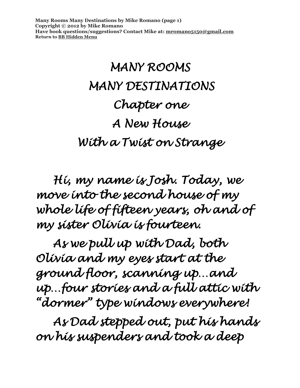**Many Rooms Many Destinations by Mike Romano (page 1) Copyright © 2012 by Mike Romano Have book questions/suggestions? Contact Mike at: [mromano5150@gmail.com](mailto:mromano5150@gmail.com) Return t[o BB Hidden Menu](https://www.bartlettbiographies.com/hidden-menu)**

# *MANY ROOMS MANY DESTINATIONS Chapter one A New House With a Twist on Strange*

 *Hi, my name is Josh. Today, we move into the second house of my whole life of fifteen years, oh and of my sister Olivia is fourteen.* 

 *As we pull up with Dad, both Olivia and my eyes start at the ground floor, scanning up…and up…four stories and a full attic with "dormer" type windows everywhere!* 

 *As Dad stepped out, put his hands on his suspenders and took a deep*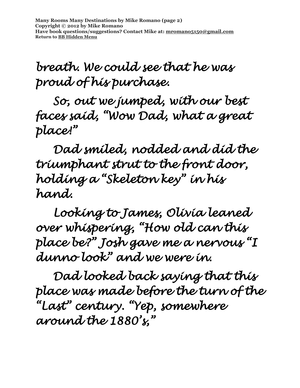**Many Rooms Many Destinations by Mike Romano (page 2) Copyright © 2012 by Mike Romano Have book questions/suggestions? Contact Mike at: [mromano5150@gmail.com](mailto:mromano5150@gmail.com) Return t[o BB Hidden Menu](https://www.bartlettbiographies.com/hidden-menu)**

### *breath. We could see that he was proud of his purchase.*

 *So, out we jumped, with our best faces said, "Wow Dad, what a great place!"* 

*Dad smiled, nodded and did the triumphant strut to the front door, holding a "Skeleton key" in his hand.* 

 *Looking to James, Olivia leaned over whispering, "How old can this place be?" Josh gave me a nervous "I dunno look" and we were in.* 

 *Dad looked back saying that this place was made before the turn of the "Last" century. "Yep, somewhere around the 1880's,"*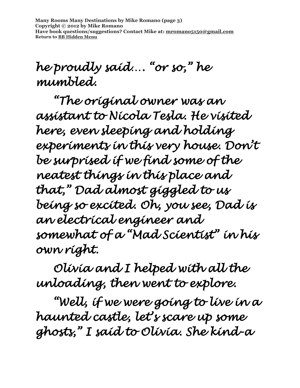**Many Rooms Many Destinations by Mike Romano (page 3) Copyright © 2012 by Mike Romano Have book questions/suggestions? Contact Mike at: [mromano5150@gmail.com](mailto:mromano5150@gmail.com) Return t[o BB Hidden Menu](https://www.bartlettbiographies.com/hidden-menu)**

### *he proudly said…. "or so," he mumbled.*

 *"The original owner was an assistant to Nicola Tesla. He visited here, even sleeping and holding experiments in this very house. Don't be surprised if we find some of the neatest things in this place and that," Dad almost giggled to us being so excited. Oh, you see, Dad is an electrical engineer and somewhat of a "Mad Scientist" in his own right.* 

 *Olivia and I helped with all the unloading, then went to explore.* 

*"Well, if we were going to live in a haunted castle, let's scare up some ghosts," I said to Olivia. She kind-a*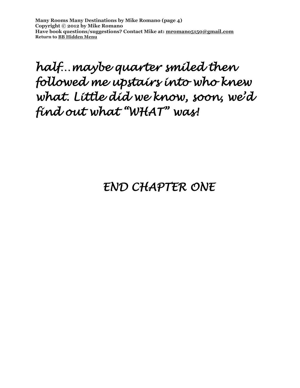**Many Rooms Many Destinations by Mike Romano (page 4) Copyright © 2012 by Mike Romano Have book questions/suggestions? Contact Mike at: [mromano5150@gmail.com](mailto:mromano5150@gmail.com) Return t[o BB Hidden Menu](https://www.bartlettbiographies.com/hidden-menu)**

### *half…maybe quarter smiled then followed me upstairs into who knew what. Little did we know, soon, we'd find out what "WHAT" was!*

#### *END CHAPTER ONE*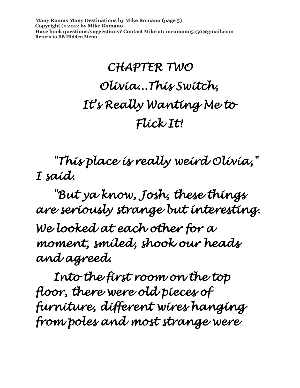**Many Rooms Many Destinations by Mike Romano (page 5) Copyright © 2012 by Mike Romano Have book questions/suggestions? Contact Mike at: [mromano5150@gmail.com](mailto:mromano5150@gmail.com) Return t[o BB Hidden Menu](https://www.bartlettbiographies.com/hidden-menu)**

# *CHAPTER TWO Olivia...This Switch, It's Really Wanting Me to Flick It!*

 *"This place is really weird Olivia," I said.* 

 *"But ya know, Josh, these things are seriously strange but interesting. We looked at each other for a moment, smiled, shook our heads and agreed.* 

 *Into the first room on the top floor, there were old pieces of furniture, different wires hanging from poles and most strange were*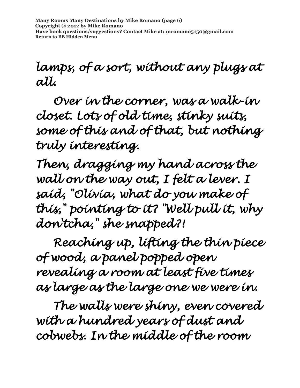### *lamps, of a sort, without any plugs at all.*

 *Over in the corner, was a walk-in closet. Lots of old time, stinky suits, some of this and of that, but nothing truly interesting.* 

*Then, dragging my hand across the wall on the way out, I felt a lever. I said, "Olivia, what do you make of this," pointing to it? "Well pull it, why don'tcha," she snapped?!* 

 *Reaching up, lifting the thin piece of wood, a panel popped open revealing a room at least five times as large as the large one we were in.* 

 *The walls were shiny, even covered with a hundred years of dust and cobwebs. In the middle of the room*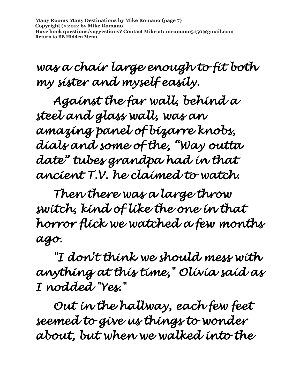**Many Rooms Many Destinations by Mike Romano (page 7) Copyright © 2012 by Mike Romano Have book questions/suggestions? Contact Mike at: [mromano5150@gmail.com](mailto:mromano5150@gmail.com) Return t[o BB Hidden Menu](https://www.bartlettbiographies.com/hidden-menu)**

*was a chair large enough to fit both my sister and myself easily.* 

*Against the far wall, behind a steel and glass wall, was an amazing panel of bizarre knobs, dials and some of the, "Way outta date" tubes grandpa had in that ancient T.V. he claimed to watch.* 

 *Then there was a large throw switch, kind of like the one in that horror flick we watched a few months ago.* 

 *"I don't think we should mess with anything at this time," Olivia said as I nodded "Yes."* 

 *Out in the hallway, each few feet seemed to give us things to wonder about, but when we walked into the*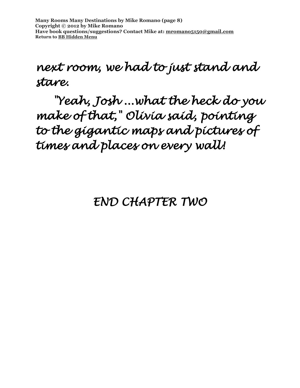#### *next room, we had to just stand and stare.*

 *"Yeah, Josh ...what the heck do you make of that," Olivia said, pointing to the gigantic maps and pictures of times and places on every wall!* 

#### *END CHAPTER TWO*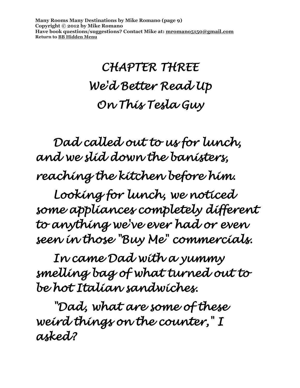**Many Rooms Many Destinations by Mike Romano (page 9) Copyright © 2012 by Mike Romano Have book questions/suggestions? Contact Mike at: [mromano5150@gmail.com](mailto:mromano5150@gmail.com) Return t[o BB Hidden Menu](https://www.bartlettbiographies.com/hidden-menu)**

## *CHAPTER THREE We'd Better Read Up On This Tesla Guy*

 *Dad called out to us for lunch, and we slid down the banisters, reaching the kitchen before him.* 

*Looking for lunch, we noticed some appliances completely different to anything we've ever had or even seen in those "Buy Me" commercials.* 

 *In came Dad with a yummy smelling bag of what turned out to be hot Italian sandwiches.* 

 *"Dad, what are some of these weird things on the counter," I asked?*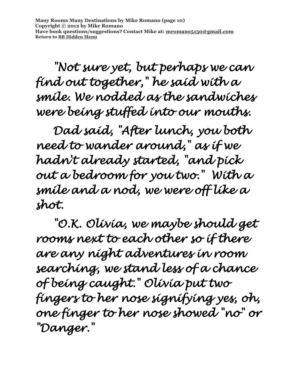**Many Rooms Many Destinations by Mike Romano (page 10) Copyright © 2012 by Mike Romano Have book questions/suggestions? Contact Mike at: [mromano5150@gmail.com](mailto:mromano5150@gmail.com) Return t[o BB Hidden Menu](https://www.bartlettbiographies.com/hidden-menu)**

 *"Not sure yet, but perhaps we can find out together," he said with a smile. We nodded as the sandwiches were being stuffed into our mouths.* 

 *Dad said, "After lunch, you both need to wander around," as if we hadn't already started, "and pick out a bedroom for you two." With a smile and a nod, we were off like a shot.* 

 *"O.K. Olivia, we maybe should get rooms next to each other so if there are any night adventures in room searching, we stand less of a chance of being caught." Olivia put two fingers to her nose signifying yes, oh, one finger to her nose showed "no" or "Danger."*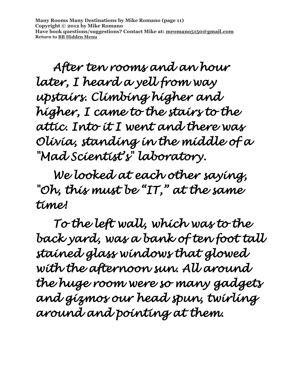**Many Rooms Many Destinations by Mike Romano (page 11) Copyright © 2012 by Mike Romano Have book questions/suggestions? Contact Mike at: [mromano5150@gmail.com](mailto:mromano5150@gmail.com) Return t[o BB Hidden Menu](https://www.bartlettbiographies.com/hidden-menu)**

 *After ten rooms and an hour later, I heard a yell from way upstairs. Climbing higher and higher, I came to the stairs to the attic. Into it I went and there was Olivia, standing in the middle of a "Mad Scientist's" laboratory.* 

 *We looked at each other saying, "Oh, this must be "IT," at the same time!* 

 *To the left wall, which was to the back yard, was a bank of ten foot tall stained glass windows that glowed with the afternoon sun. All around the huge room were so many gadgets and gizmos our head spun, twirling around and pointing at them.*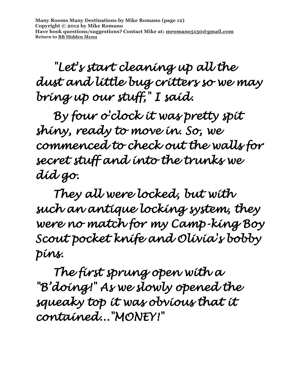**Many Rooms Many Destinations by Mike Romano (page 12) Copyright © 2012 by Mike Romano Have book questions/suggestions? Contact Mike at: [mromano5150@gmail.com](mailto:mromano5150@gmail.com) Return t[o BB Hidden Menu](https://www.bartlettbiographies.com/hidden-menu)**

 *"Let's start cleaning up all the dust and little bug critters so we may bring up our stuff," I said.* 

 *By four o'clock it was pretty spit shiny, ready to move in. So, we commenced to check out the walls for secret stuff and into the trunks we did go.* 

 *They all were locked, but with such an antique locking system, they were no match for my Camp-king Boy Scout pocket knife and Olivia's bobby pins.* 

 *The first sprung open with a "B'doing!" As we slowly opened the squeaky top it was obvious that it contained..."MONEY!"*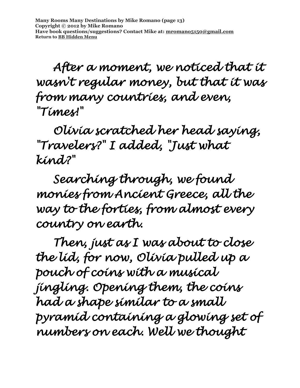*After a moment, we noticed that it wasn't regular money, but that it was from many countries, and even, "Times!"* 

 *Olivia scratched her head saying, "Travelers?" I added, "Just what kind?"* 

 *Searching through, we found monies from Ancient Greece, all the way to the forties, from almost every country on earth.* 

 *Then, just as I was about to close the lid, for now, Olivia pulled up a pouch of coins with a musical jingling. Opening them, the coins had a shape similar to a small pyramid containing a glowing set of numbers on each. Well we thought*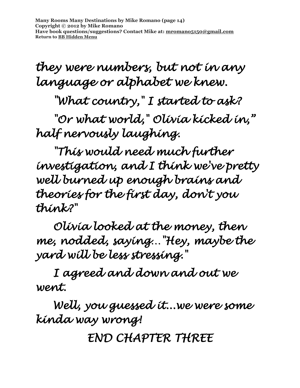**Many Rooms Many Destinations by Mike Romano (page 14) Copyright © 2012 by Mike Romano Have book questions/suggestions? Contact Mike at: [mromano5150@gmail.com](mailto:mromano5150@gmail.com) Return t[o BB Hidden Menu](https://www.bartlettbiographies.com/hidden-menu)**

*they were numbers, but not in any language or alphabet we knew.* 

 *"What country," I started to ask?* 

 *"Or what world," Olivia kicked in," half nervously laughing.* 

 *"This would need much further investigation, and I think we've pretty well burned up enough brains and theories for the first day, don't you think?"* 

 *Olivia looked at the money, then me, nodded, saying…"Hey, maybe the yard will be less stressing."* 

 *I agreed and down and out we went.* 

 *Well, you guessed it...we were some kinda way wrong!* 

*END CHAPTER THREE*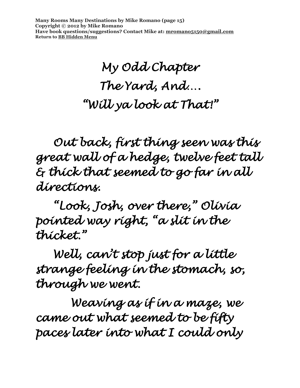**Many Rooms Many Destinations by Mike Romano (page 15) Copyright © 2012 by Mike Romano Have book questions/suggestions? Contact Mike at: [mromano5150@gmail.com](mailto:mromano5150@gmail.com) Return t[o BB Hidden Menu](https://www.bartlettbiographies.com/hidden-menu)**

## *My Odd Chapter The Yard, And…. "Will ya look at That!"*

*Out back, first thing seen was this great wall of a hedge, twelve feet tall & thick that seemed to go far in all directions.* 

*"Look, Josh, over there," Olivia pointed way right, "a slit in the thicket."* 

*Well, can't stop just for a little strange feeling in the stomach, so, through we went.* 

 *Weaving as if in a maze, we came out what seemed to be fifty paces later into what I could only*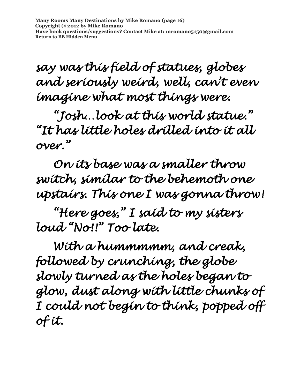*say was this field of statues, globes and seriously weird, well, can't even imagine what most things were.* 

*"Josh…look at this world statue." "It has little holes drilled into it all over."* 

*On its base was a smaller throw switch, similar to the behemoth one upstairs. This one I was gonna throw!* 

*"Here goes," I said to my sisters loud "No!!" Too late.* 

*With a hummmmm, and creak, followed by crunching, the globe slowly turned as the holes began to glow, dust along with little chunks of I could not begin to think, popped off of it.*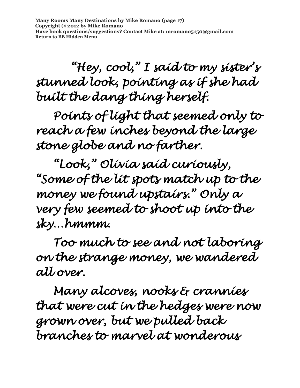**Many Rooms Many Destinations by Mike Romano (page 17) Copyright © 2012 by Mike Romano Have book questions/suggestions? Contact Mike at: [mromano5150@gmail.com](mailto:mromano5150@gmail.com) Return t[o BB Hidden Menu](https://www.bartlettbiographies.com/hidden-menu)**

 *"Hey, cool," I said to my sister's stunned look, pointing as if she had built the dang thing herself.* 

*Points of light that seemed only to reach a few inches beyond the large stone globe and no farther.* 

*"Look," Olivia said curiously, "Some of the lit spots match up to the money we found upstairs." Only a very few seemed to shoot up into the sky…hmmm.* 

*Too much to see and not laboring on the strange money, we wandered all over.* 

*Many alcoves, nooks & crannies that were cut in the hedges were now grown over, but we pulled back branches to marvel at wonderous*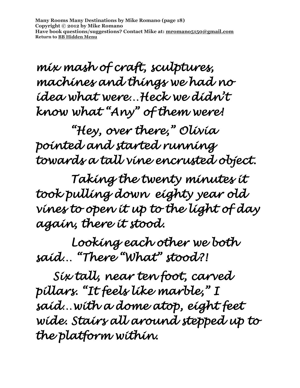**Many Rooms Many Destinations by Mike Romano (page 18) Copyright © 2012 by Mike Romano Have book questions/suggestions? Contact Mike at: [mromano5150@gmail.com](mailto:mromano5150@gmail.com) Return t[o BB Hidden Menu](https://www.bartlettbiographies.com/hidden-menu)**

*mix mash of craft, sculptures, machines and things we had no idea what were…Heck we didn't know what "Any" of them were!* 

 *"Hey, over there," Olivia pointed and started running towards a tall vine encrusted object.* 

 *Taking the twenty minutes it took pulling down eighty year old vines to open it up to the light of day again, there it stood.* 

 *Looking each other we both said… "There "What" stood?!* 

*Six tall, near ten foot, carved pillars. "It feels like marble," I said…with a dome atop, eight feet wide. Stairs all around stepped up to the platform within.*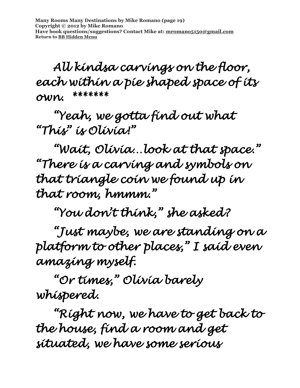**Many Rooms Many Destinations by Mike Romano (page 19) Copyright © 2012 by Mike Romano Have book questions/suggestions? Contact Mike at: [mromano5150@gmail.com](mailto:mromano5150@gmail.com) Return t[o BB Hidden Menu](https://www.bartlettbiographies.com/hidden-menu)**

*All kindsa carvings on the floor, each within a pie shaped space of its own. \*\*\*\*\*\*\** 

*"Yeah, we gotta find out what "This" is Olivia!"* 

*"Wait, Olivia…look at that space." "There is a carving and symbols on that triangle coin we found up in that room, hmmm."* 

*"You don't think," she asked?* 

*"Just maybe, we are standing on a platform to other places," I said even amazing myself.* 

*"Or times," Olivia barely whispered.* 

*"Right now, we have to get back to the house, find a room and get situated, we have some serious*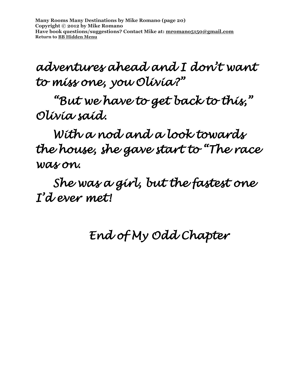**Many Rooms Many Destinations by Mike Romano (page 20) Copyright © 2012 by Mike Romano Have book questions/suggestions? Contact Mike at: [mromano5150@gmail.com](mailto:mromano5150@gmail.com) Return t[o BB Hidden Menu](https://www.bartlettbiographies.com/hidden-menu)**

### *adventures ahead and I don't want to miss one, you Olivia?"*

*"But we have to get back to this," Olivia said.* 

*With a nod and a look towards the house, she gave start to "The race was on.* 

*She was a girl, but the fastest one I'd ever met!* 

#### *End of My Odd Chapter*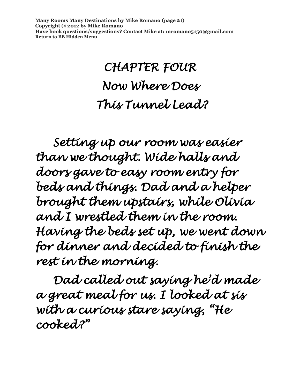**Many Rooms Many Destinations by Mike Romano (page 21) Copyright © 2012 by Mike Romano Have book questions/suggestions? Contact Mike at: [mromano5150@gmail.com](mailto:mromano5150@gmail.com) Return t[o BB Hidden Menu](https://www.bartlettbiographies.com/hidden-menu)**

## *CHAPTER FOUR Now Where Does This Tunnel Lead?*

*Setting up our room was easier than we thought. Wide halls and doors gave to easy room entry for beds and things. Dad and a helper brought them upstairs, while Olivia and I wrestled them in the room. Having the beds set up, we went down for dinner and decided to finish the rest in the morning.* 

*Dad called out saying he'd made a great meal for us. I looked at sis with a curious stare saying, "He cooked?"*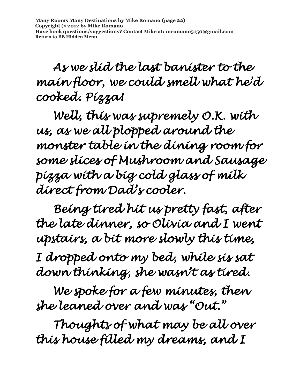*As we slid the last banister to the main floor, we could smell what he'd cooked. Pizza!* 

*Well, this was supremely O.K. with us, as we all plopped around the monster table in the dining room for some slices of Mushroom and Sausage pizza with a big cold glass of milk direct from Dad's cooler.* 

*Being tired hit us pretty fast, after the late dinner, so Olivia and I went upstairs, a bit more slowly this time,* 

*I dropped onto my bed, while sis sat down thinking, she wasn't as tired.* 

 *We spoke for a few minutes, then she leaned over and was "Out."* 

 *Thoughts of what may be all over this house filled my dreams, and I*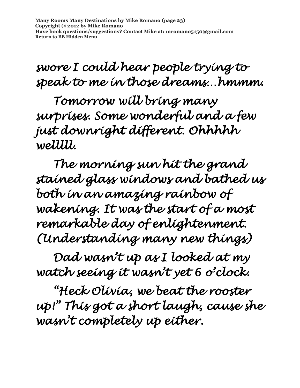**Many Rooms Many Destinations by Mike Romano (page 23) Copyright © 2012 by Mike Romano Have book questions/suggestions? Contact Mike at: [mromano5150@gmail.com](mailto:mromano5150@gmail.com) Return t[o BB Hidden Menu](https://www.bartlettbiographies.com/hidden-menu)**

### *swore I could hear people trying to speak to me in those dreams…hmmm.*

 *Tomorrow will bring many surprises. Some wonderful and a few just downright different. Ohhhhh welllll.* 

 *The morning sun hit the grand stained glass windows and bathed us both in an amazing rainbow of wakening. It was the start of a most remarkable day of enlightenment. (Understanding many new things)* 

 *Dad wasn't up as I looked at my watch seeing it wasn't yet 6 o'clock.* 

*"Heck Olivia, we beat the rooster up!" This got a short laugh, cause she wasn't completely up either.*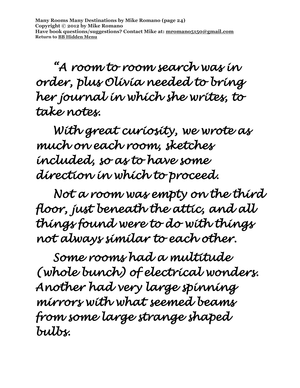*"A room to room search was in order, plus Olivia needed to bring her journal in which she writes, to take notes.* 

*With great curiosity, we wrote as much on each room, sketches included, so as to have some direction in which to proceed.* 

*Not a room was empty on the third floor, just beneath the attic, and all things found were to do with things not always similar to each other.* 

*Some rooms had a multitude (whole bunch) of electrical wonders. Another had very large spinning mirrors with what seemed beams from some large strange shaped bulbs.*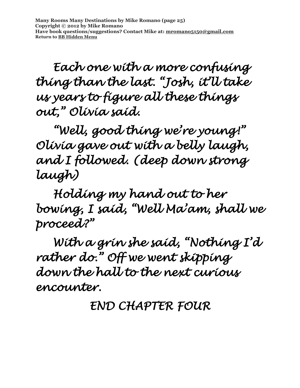**Many Rooms Many Destinations by Mike Romano (page 25) Copyright © 2012 by Mike Romano Have book questions/suggestions? Contact Mike at: [mromano5150@gmail.com](mailto:mromano5150@gmail.com) Return t[o BB Hidden Menu](https://www.bartlettbiographies.com/hidden-menu)**

*Each one with a more confusing thing than the last. "Josh, it'll take us years to figure all these things out," Olivia said.* 

 *"Well, good thing we're young!" Olivia gave out with a belly laugh, and I followed. (deep down strong laugh)* 

 *Holding my hand out to her bowing, I said, "Well Ma'am, shall we proceed?"* 

 *With a grin she said, "Nothing I'd rather do." Off we went skipping down the hall to the next curious encounter.* 

*END CHAPTER FOUR*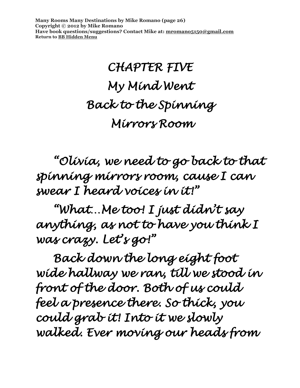**Many Rooms Many Destinations by Mike Romano (page 26) Copyright © 2012 by Mike Romano Have book questions/suggestions? Contact Mike at: [mromano5150@gmail.com](mailto:mromano5150@gmail.com) Return t[o BB Hidden Menu](https://www.bartlettbiographies.com/hidden-menu)**

## *CHAPTER FIVE My Mind Went Back to the Spinning Mirrors Room*

 *"Olivia, we need to go back to that spinning mirrors room, cause I can swear I heard voices in it!"* 

 *"What…Me too! I just didn't say anything, as not to have you think I was crazy. Let's go!"* 

 *Back down the long eight foot wide hallway we ran, till we stood in front of the door. Both of us could feel a presence there. So thick, you could grab it! Into it we slowly walked. Ever moving our heads from*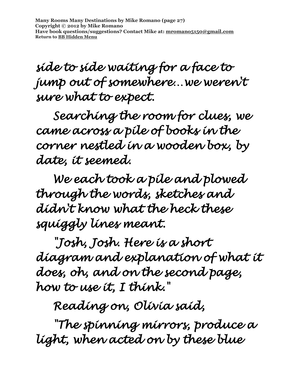**Many Rooms Many Destinations by Mike Romano (page 27) Copyright © 2012 by Mike Romano Have book questions/suggestions? Contact Mike at: [mromano5150@gmail.com](mailto:mromano5150@gmail.com) Return t[o BB Hidden Menu](https://www.bartlettbiographies.com/hidden-menu)**

*side to side waiting for a face to jump out of somewhere…we weren't sure what to expect.* 

 *Searching the room for clues, we came across a pile of books in the corner nestled in a wooden box, by date, it seemed.* 

 *We each took a pile and plowed through the words, sketches and didn't know what the heck these squiggly lines meant.* 

 *"Josh, Josh. Here is a short diagram and explanation of what it does, oh, and on the second page, how to use it, I think."* 

 *Reading on, Olivia said,* 

 *"The spinning mirrors, produce a light, when acted on by these blue*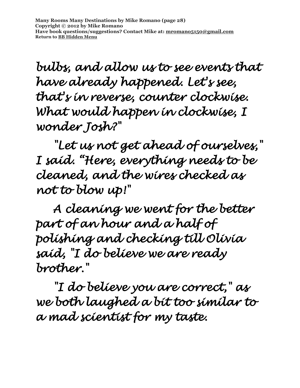**Many Rooms Many Destinations by Mike Romano (page 28) Copyright © 2012 by Mike Romano Have book questions/suggestions? Contact Mike at: [mromano5150@gmail.com](mailto:mromano5150@gmail.com) Return t[o BB Hidden Menu](https://www.bartlettbiographies.com/hidden-menu)**

*bulbs, and allow us to see events that have already happened. Let's see, that's in reverse, counter clockwise. What would happen in clockwise, I wonder Josh?"* 

 *"Let us not get ahead of ourselves," I said. "Here, everything needs to be cleaned, and the wires checked as not to blow up!"* 

 *A cleaning we went for the better part of an hour and a half of polishing and checking till Olivia said, "I do believe we are ready brother."* 

 *"I do believe you are correct," as we both laughed a bit too similar to a mad scientist for my taste.*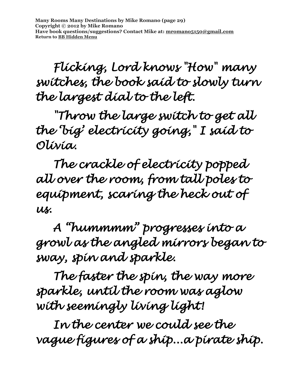*Flicking, Lord knows "How" many switches, the book said to slowly turn the largest dial to the left.* 

 *"Throw the large switch to get all the 'big' electricity going," I said to Olivia.* 

 *The crackle of electricity popped all over the room, from tall poles to equipment, scaring the heck out of us.* 

 *A "hummmm" progresses into a growl as the angled mirrors began to sway, spin and sparkle.* 

 *The faster the spin, the way more sparkle, until the room was aglow with seemingly living light!* 

 *In the center we could see the vague figures of a ship...a pirate ship.*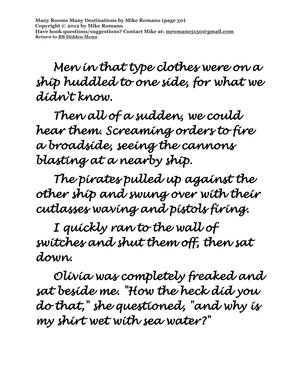*Men in that type clothes were on a ship huddled to one side, for what we didn't know.* 

 *Then all of a sudden, we could hear them. Screaming orders to fire a broadside, seeing the cannons blasting at a nearby ship.* 

 *The pirates pulled up against the other ship and swung over with their cutlasses waving and pistols firing.* 

 *I quickly ran to the wall of switches and shut them off, then sat down.* 

 *Olivia was completely freaked and sat beside me. "How the heck did you do that," she questioned, "and why is my shirt wet with sea water?"*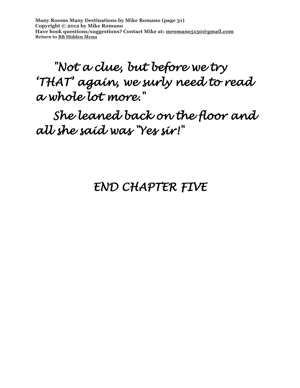**Many Rooms Many Destinations by Mike Romano (page 31) Copyright © 2012 by Mike Romano Have book questions/suggestions? Contact Mike at: [mromano5150@gmail.com](mailto:mromano5150@gmail.com) Return t[o BB Hidden Menu](https://www.bartlettbiographies.com/hidden-menu)**

 *"Not a clue, but before we try 'THAT' again, we surly need to read a whole lot more."* 

 *She leaned back on the floor and all she said was "Yes sir!"* 

#### *END CHAPTER FIVE*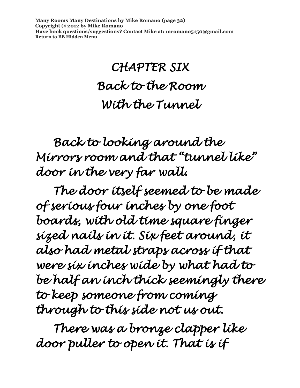**Many Rooms Many Destinations by Mike Romano (page 32) Copyright © 2012 by Mike Romano Have book questions/suggestions? Contact Mike at: [mromano5150@gmail.com](mailto:mromano5150@gmail.com) Return t[o BB Hidden Menu](https://www.bartlettbiographies.com/hidden-menu)**

## *CHAPTER SIX Back to the Room With the Tunnel*

 *Back to looking around the Mirrors room and that "tunnel like" door in the very far wall.* 

 *The door itself seemed to be made of serious four inches by one foot boards, with old time square finger sized nails in it. Six feet around, it also had metal straps across if that were six inches wide by what had to be half an inch thick seemingly there to keep someone from coming through to this side not us out.* 

 *There was a bronze clapper like door puller to open it. That is if*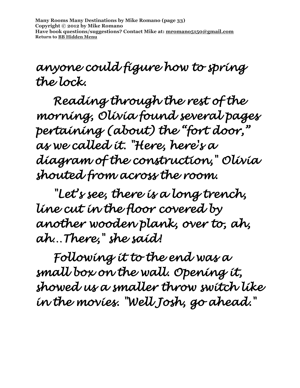**Many Rooms Many Destinations by Mike Romano (page 33) Copyright © 2012 by Mike Romano Have book questions/suggestions? Contact Mike at: [mromano5150@gmail.com](mailto:mromano5150@gmail.com) Return t[o BB Hidden Menu](https://www.bartlettbiographies.com/hidden-menu)**

*anyone could figure how to spring the lock.* 

 *Reading through the rest of the morning, Olivia found several pages pertaining (about) the "fort door," as we called it. "Here, here's a diagram of the construction," Olivia shouted from across the room.* 

 *"Let's see, there is a long trench, line cut in the floor covered by another wooden plank, over to, ah, ah…There," she said!* 

 *Following it to the end was a small box on the wall. Opening it, showed us a smaller throw switch like in the movies. "Well Josh, go ahead."*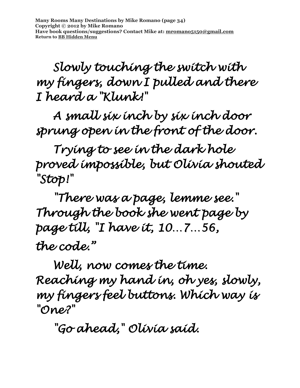**Many Rooms Many Destinations by Mike Romano (page 34) Copyright © 2012 by Mike Romano Have book questions/suggestions? Contact Mike at: [mromano5150@gmail.com](mailto:mromano5150@gmail.com) Return t[o BB Hidden Menu](https://www.bartlettbiographies.com/hidden-menu)**

 *Slowly touching the switch with my fingers, down I pulled and there I heard a "Klunk!"* 

 *A small six inch by six inch door sprung open in the front of the door.* 

 *Trying to see in the dark hole proved impossible, but Olivia shouted "Stop!"* 

 *"There was a page, lemme see." Through the book she went page by page till, "I have it, 10…7…56, the code."* 

 *Well, now comes the time. Reaching my hand in, oh yes, slowly, my fingers feel buttons. Which way is "One?"* 

 *"Go ahead," Olivia said.*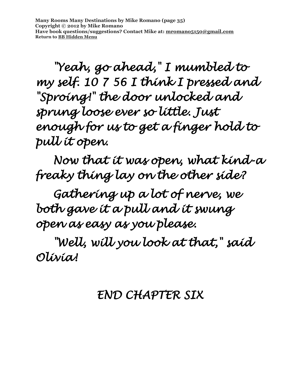**Many Rooms Many Destinations by Mike Romano (page 35) Copyright © 2012 by Mike Romano Have book questions/suggestions? Contact Mike at: [mromano5150@gmail.com](mailto:mromano5150@gmail.com) Return t[o BB Hidden Menu](https://www.bartlettbiographies.com/hidden-menu)**

 *"Yeah, go ahead," I mumbled to my self. 10 7 56 I think I pressed and "Sproing!" the door unlocked and sprung loose ever so little. Just enough for us to get a finger hold to pull it open.* 

 *Now that it was open, what kind-a freaky thing lay on the other side?* 

 *Gathering up a lot of nerve, we both gave it a pull and it swung open as easy as you please.* 

 *"Well, will you look at that," said Olivia!* 

#### *END CHAPTER SIX*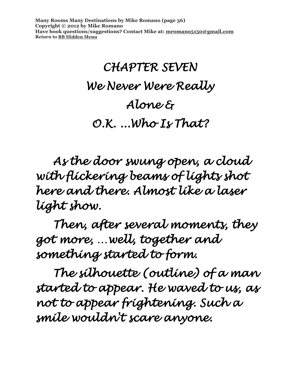**Many Rooms Many Destinations by Mike Romano (page 36) Copyright © 2012 by Mike Romano Have book questions/suggestions? Contact Mike at: [mromano5150@gmail.com](mailto:mromano5150@gmail.com) Return t[o BB Hidden Menu](https://www.bartlettbiographies.com/hidden-menu)**

# *CHAPTER SEVEN We Never Were Really Alone & O.K. ...Who Is That?*

 *As the door swung open, a cloud with flickering beams of lights shot here and there. Almost like a laser light show.* 

 *Then, after several moments, they got more, …well, together and something started to form.* 

 *The silhouette (outline) of a man started to appear. He waved to us, as not to appear frightening. Such a smile wouldn't scare anyone.*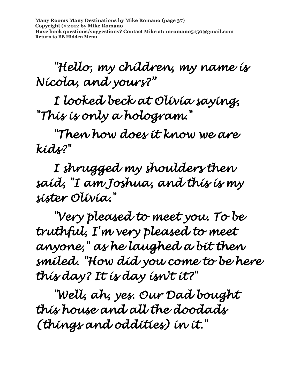**Many Rooms Many Destinations by Mike Romano (page 37) Copyright © 2012 by Mike Romano Have book questions/suggestions? Contact Mike at: [mromano5150@gmail.com](mailto:mromano5150@gmail.com) Return t[o BB Hidden Menu](https://www.bartlettbiographies.com/hidden-menu)**

 *"Hello, my children, my name is Nicola, and yours?"* 

 *I looked beck at Olivia saying, "This is only a hologram."* 

 *"Then how does it know we are kids?"* 

 *I shrugged my shoulders then said, "I am Joshua, and this is my sister Olivia."* 

 *"Very pleased to meet you. To be truthful, I'm very pleased to meet anyone," as he laughed a bit then smiled. "How did you come to be here this day? It is day isn't it?"* 

 *"Well, ah, yes. Our Dad bought this house and all the doodads (things and oddities) in it."*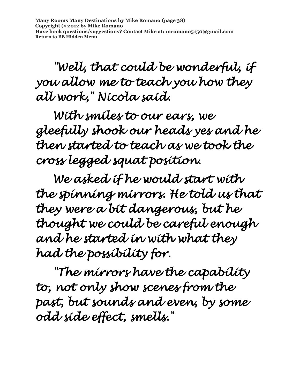*"Well, that could be wonderful, if you allow me to teach you how they all work," Nicola said.* 

 *With smiles to our ears, we gleefully shook our heads yes and he then started to teach as we took the cross legged squat position.* 

 *We asked if he would start with the spinning mirrors. He told us that they were a bit dangerous, but he thought we could be careful enough and he started in with what they had the possibility for.* 

 *"The mirrors have the capability to, not only show scenes from the past, but sounds and even, by some odd side effect, smells."*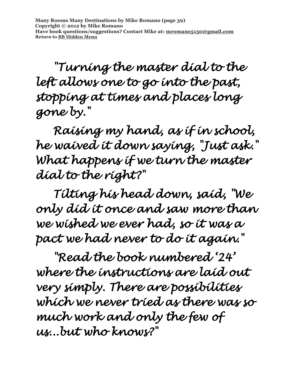*"Turning the master dial to the left allows one to go into the past, stopping at times and places long gone by."* 

 *Raising my hand, as if in school, he waived it down saying, "Just ask." What happens if we turn the master dial to the right?"* 

 *Tilting his head down, said, "We only did it once and saw more than we wished we ever had, so it was a pact we had never to do it again."* 

 *"Read the book numbered '24' where the instructions are laid out very simply. There are possibilities which we never tried as there was so much work and only the few of us...but who knows?"*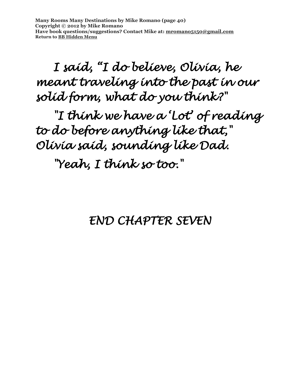**Many Rooms Many Destinations by Mike Romano (page 40) Copyright © 2012 by Mike Romano Have book questions/suggestions? Contact Mike at: [mromano5150@gmail.com](mailto:mromano5150@gmail.com) Return t[o BB Hidden Menu](https://www.bartlettbiographies.com/hidden-menu)**

 *I said, "I do believe, Olivia, he meant traveling into the past in our solid form, what do you think?"* 

 *"I think we have a 'Lot' of reading to do before anything like that," Olivia said, sounding like Dad.* 

 *"Yeah, I think so too."* 

#### *END CHAPTER SEVEN*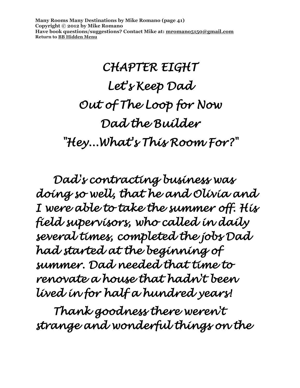**Many Rooms Many Destinations by Mike Romano (page 41) Copyright © 2012 by Mike Romano Have book questions/suggestions? Contact Mike at: [mromano5150@gmail.com](mailto:mromano5150@gmail.com) Return t[o BB Hidden Menu](https://www.bartlettbiographies.com/hidden-menu)**

# *CHAPTER EIGHT Let's Keep Dad Out of The Loop for Now Dad the Builder "Hey...What's This Room For?"*

 *Dad's contracting business was doing so well, that he and Olivia and I were able to take the summer off. His field supervisors, who called in daily several times, completed the jobs Dad had started at the beginning of summer. Dad needed that time to renovate a house that hadn't been lived in for half a hundred years!* 

 *Thank goodness there weren't strange and wonderful things on the*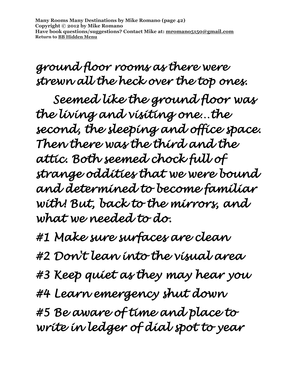**Many Rooms Many Destinations by Mike Romano (page 42) Copyright © 2012 by Mike Romano Have book questions/suggestions? Contact Mike at: [mromano5150@gmail.com](mailto:mromano5150@gmail.com) Return t[o BB Hidden Menu](https://www.bartlettbiographies.com/hidden-menu)**

*ground floor rooms as there were strewn all the heck over the top ones.* 

 *Seemed like the ground floor was the living and visiting one…the second, the sleeping and office space. Then there was the third and the attic. Both seemed chock full of strange oddities that we were bound and determined to become familiar with! But, back to the mirrors, and what we needed to do.* 

*#1 Make sure surfaces are clean* 

*#2 Don't lean into the visual area* 

*#3 Keep quiet as they may hear you* 

*#4 Learn emergency shut down* 

*#5 Be aware of time and place to write in ledger of dial spot to year*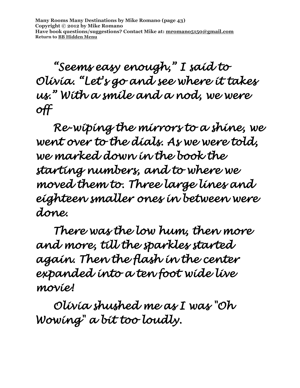**Many Rooms Many Destinations by Mike Romano (page 43) Copyright © 2012 by Mike Romano Have book questions/suggestions? Contact Mike at: [mromano5150@gmail.com](mailto:mromano5150@gmail.com) Return t[o BB Hidden Menu](https://www.bartlettbiographies.com/hidden-menu)**

 *"Seems easy enough," I said to Olivia. "Let's go and see where it takes us." With a smile and a nod, we were off* 

 *Re-wiping the mirrors to a shine, we went over to the dials. As we were told, we marked down in the book the starting numbers, and to where we moved them to. Three large lines and eighteen smaller ones in between were done.* 

 *There was the low hum, then more and more, till the sparkles started again. Then the flash in the center expanded into a ten foot wide live movie!* 

 *Olivia shushed me as I was "Oh Wowing" a bit too loudly.*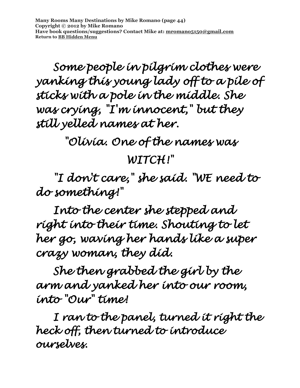**Many Rooms Many Destinations by Mike Romano (page 44) Copyright © 2012 by Mike Romano Have book questions/suggestions? Contact Mike at: [mromano5150@gmail.com](mailto:mromano5150@gmail.com) Return t[o BB Hidden Menu](https://www.bartlettbiographies.com/hidden-menu)**

 *Some people in pilgrim clothes were yanking this young lady off to a pile of sticks with a pole in the middle. She was crying, "I'm innocent," but they still yelled names at her.* 

*"Olivia. One of the names was* 

#### *WITCH!"*

 *"I don't care," she said. "WE need to do something!"* 

 *Into the center she stepped and right into their time. Shouting to let her go, waving her hands like a super crazy woman, they did.* 

 *She then grabbed the girl by the arm and yanked her into our room, into "Our" time!* 

 *I ran to the panel, turned it right the heck off, then turned to introduce ourselves.*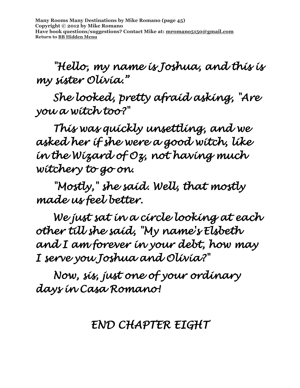**Many Rooms Many Destinations by Mike Romano (page 45) Copyright © 2012 by Mike Romano Have book questions/suggestions? Contact Mike at: [mromano5150@gmail.com](mailto:mromano5150@gmail.com) Return t[o BB Hidden Menu](https://www.bartlettbiographies.com/hidden-menu)**

 *"Hello, my name is Joshua, and this is my sister Olivia."* 

 *She looked, pretty afraid asking, "Are you a witch too?"* 

 *This was quickly unsettling, and we asked her if she were a good witch, like in the Wizard of Oz, not having much witchery to go on.* 

 *"Mostly," she said. Well, that mostly made us feel better.* 

 *We just sat in a circle looking at each other till she said, "My name's Elsbeth and I am forever in your debt, how may I serve you Joshua and Olivia?"* 

 *Now, sis, just one of your ordinary days in Casa Romano!* 

#### *END CHAPTER EIGHT*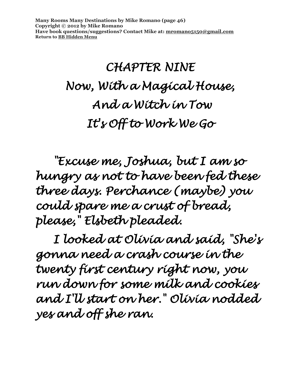**Many Rooms Many Destinations by Mike Romano (page 46) Copyright © 2012 by Mike Romano Have book questions/suggestions? Contact Mike at: [mromano5150@gmail.com](mailto:mromano5150@gmail.com) Return t[o BB Hidden Menu](https://www.bartlettbiographies.com/hidden-menu)**

# *CHAPTER NINE Now, With a Magical House, And a Witch in Tow It's Off to Work We Go*

 *"Excuse me, Joshua, but I am so hungry as not to have been fed these three days. Perchance (maybe) you could spare me a crust of bread, please," Elsbeth pleaded.* 

 *I looked at Olivia and said, "She's gonna need a crash course in the twenty first century right now, you run down for some milk and cookies and I'll start on her." Olivia nodded yes and off she ran.*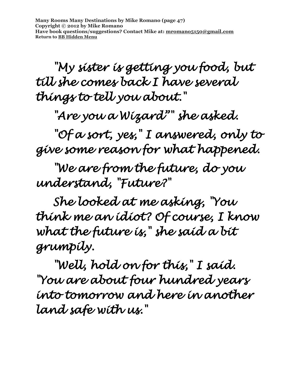**Many Rooms Many Destinations by Mike Romano (page 47) Copyright © 2012 by Mike Romano Have book questions/suggestions? Contact Mike at: [mromano5150@gmail.com](mailto:mromano5150@gmail.com) Return t[o BB Hidden Menu](https://www.bartlettbiographies.com/hidden-menu)**

 *"My sister is getting you food, but till she comes back I have several things to tell you about."* 

 *"Are you a Wizard"" she asked.* 

 *"Of a sort, yes," I answered, only to give some reason for what happened.* 

 *"We are from the future, do you understand, "Future?"* 

 *She looked at me asking, "You think me an idiot? Of course, I know what the future is," she said a bit grumpily.* 

 *"Well, hold on for this," I said. "You are about four hundred years into tomorrow and here in another land safe with us."*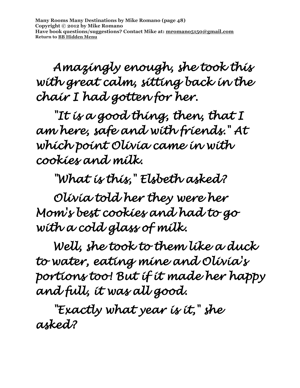**Many Rooms Many Destinations by Mike Romano (page 48) Copyright © 2012 by Mike Romano Have book questions/suggestions? Contact Mike at: [mromano5150@gmail.com](mailto:mromano5150@gmail.com) Return t[o BB Hidden Menu](https://www.bartlettbiographies.com/hidden-menu)**

 *Amazingly enough, she took this with great calm, sitting back in the chair I had gotten for her.* 

*"It is a good thing, then, that I am here, safe and with friends." At which point Olivia came in with cookies and milk.* 

 *"What is this," Elsbeth asked?* 

 *Olivia told her they were her Mom's best cookies and had to go with a cold glass of milk.* 

 *Well, she took to them like a duck to water, eating mine and Olivia's portions too! But if it made her happy and full, it was all good.* 

 *"Exactly what year is it," she asked?*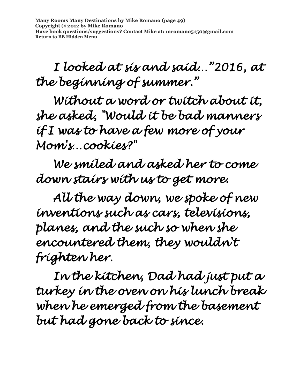**Many Rooms Many Destinations by Mike Romano (page 49) Copyright © 2012 by Mike Romano Have book questions/suggestions? Contact Mike at: [mromano5150@gmail.com](mailto:mromano5150@gmail.com) Return t[o BB Hidden Menu](https://www.bartlettbiographies.com/hidden-menu)**

 *I looked at sis and said…"2016, at the beginning of summer."* 

 *Without a word or twitch about it, she asked, "Would it be bad manners if I was to have a few more of your Mom's…cookies?"* 

 *We smiled and asked her to come down stairs with us to get more.* 

 *All the way down, we spoke of new inventions such as cars, televisions, planes, and the such so when she encountered them, they wouldn't frighten her.* 

 *In the kitchen, Dad had just put a turkey in the oven on his lunch break when he emerged from the basement but had gone back to since.*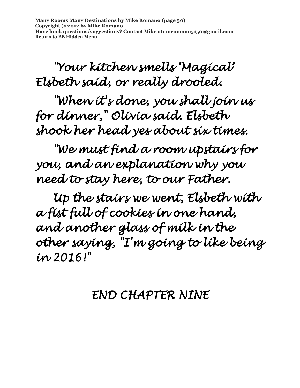**Many Rooms Many Destinations by Mike Romano (page 50) Copyright © 2012 by Mike Romano Have book questions/suggestions? Contact Mike at: [mromano5150@gmail.com](mailto:mromano5150@gmail.com) Return t[o BB Hidden Menu](https://www.bartlettbiographies.com/hidden-menu)**

## *"Your kitchen smells 'Magical' Elsbeth said, or really drooled.*

 *"When it's done, you shall join us for dinner," Olivia said. Elsbeth shook her head yes about six times.* 

 *"We must find a room upstairs for you, and an explanation why you need to stay here, to our Father.* 

 *Up the stairs we went, Elsbeth with a fist full of cookies in one hand, and another glass of milk in the other saying, "I'm going to like being in 2016!"* 

#### *END CHAPTER NINE*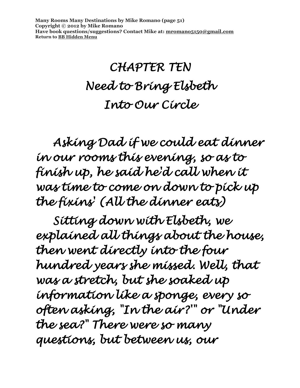**Many Rooms Many Destinations by Mike Romano (page 51) Copyright © 2012 by Mike Romano Have book questions/suggestions? Contact Mike at: [mromano5150@gmail.com](mailto:mromano5150@gmail.com) Return t[o BB Hidden Menu](https://www.bartlettbiographies.com/hidden-menu)**

## *CHAPTER TEN Need to Bring Elsbeth Into Our Circle*

 *Asking Dad if we could eat dinner in our rooms this evening, so as to finish up, he said he'd call when it was time to come on down to pick up the fixins' (All the dinner eats)* 

 *Sitting down with Elsbeth, we explained all things about the house, then went directly into the four hundred years she missed. Well, that was a stretch, but she soaked up information like a sponge, every so often asking, "In the air?'" or "Under the sea?" There were so many questions, but between us, our*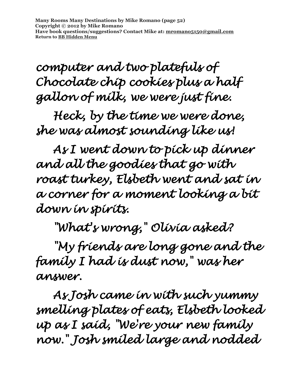**Many Rooms Many Destinations by Mike Romano (page 52) Copyright © 2012 by Mike Romano Have book questions/suggestions? Contact Mike at: [mromano5150@gmail.com](mailto:mromano5150@gmail.com) Return t[o BB Hidden Menu](https://www.bartlettbiographies.com/hidden-menu)**

*computer and two platefuls of Chocolate chip cookies plus a half gallon of milk, we were just fine.* 

 *Heck, by the time we were done, she was almost sounding like us!* 

 *As I went down to pick up dinner and all the goodies that go with roast turkey, Elsbeth went and sat in a corner for a moment looking a bit down in spirits.* 

 *"What's wrong," Olivia asked?* 

 *"My friends are long gone and the family I had is dust now," was her answer.* 

 *As Josh came in with such yummy smelling plates of eats, Elsbeth looked up as I said, "We're your new family now." Josh smiled large and nodded*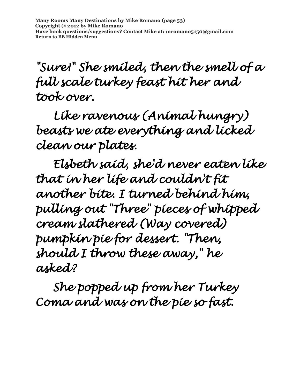*"Sure!" She smiled, then the smell of a full scale turkey feast hit her and took over.* 

 *Like ravenous (Animal hungry) beasts we ate everything and licked clean our plates.* 

 *Elsbeth said, she'd never eaten like that in her life and couldn't fit another bite. I turned behind him, pulling out "Three" pieces of whipped cream slathered (Way covered) pumpkin pie for dessert. "Then, should I throw these away," he asked?* 

 *She popped up from her Turkey Coma and was on the pie so fast.*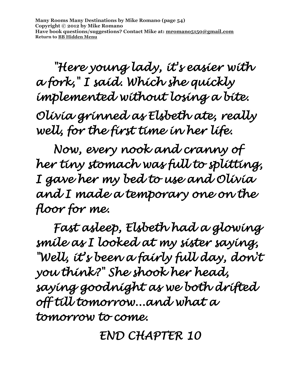**Many Rooms Many Destinations by Mike Romano (page 54) Copyright © 2012 by Mike Romano Have book questions/suggestions? Contact Mike at: [mromano5150@gmail.com](mailto:mromano5150@gmail.com) Return t[o BB Hidden Menu](https://www.bartlettbiographies.com/hidden-menu)**

 *"Here young lady, it's easier with a fork," I said. Which she quickly implemented without losing a bite.* 

*Olivia grinned as Elsbeth ate, really well, for the first time in her life.* 

 *Now, every nook and cranny of her tiny stomach was full to splitting, I gave her my bed to use and Olivia and I made a temporary one on the floor for me.* 

 *Fast asleep, Elsbeth had a glowing smile as I looked at my sister saying, "Well, it's been a fairly full day, don't you think?" She shook her head, saying goodnight as we both drifted off till tomorrow...and what a tomorrow to come.* 

*END CHAPTER 10*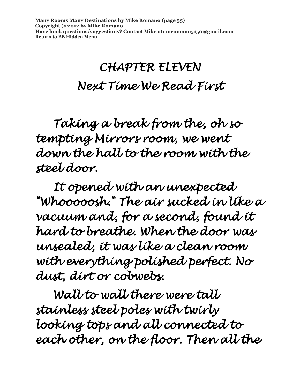## *CHAPTER ELEVEN Next Time We Read First*

 *Taking a break from the, oh so tempting Mirrors room, we went down the hall to the room with the steel door.* 

 *It opened with an unexpected "Whooooosh." The air sucked in like a vacuum and, for a second, found it hard to breathe. When the door was unsealed, it was like a clean room with everything polished perfect. No dust, dirt or cobwebs.* 

 *Wall to wall there were tall stainless steel poles with twirly looking tops and all connected to each other, on the floor. Then all the*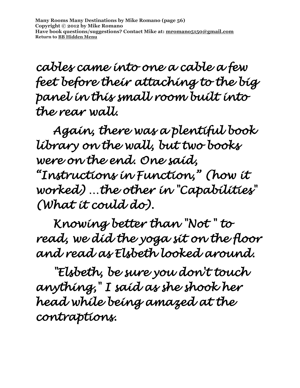**Many Rooms Many Destinations by Mike Romano (page 56) Copyright © 2012 by Mike Romano Have book questions/suggestions? Contact Mike at: [mromano5150@gmail.com](mailto:mromano5150@gmail.com) Return t[o BB Hidden Menu](https://www.bartlettbiographies.com/hidden-menu)**

*cables came into one a cable a few feet before their attaching to the big panel in this small room built into the rear wall.* 

 *Again, there was a plentiful book library on the wall, but two books were on the end. One said, "Instructions in Function," (how it worked) …the other in "Capabilities" (What it could do).* 

 *Knowing better than "Not " to read, we did the yoga sit on the floor and read as Elsbeth looked around.* 

 *"Elsbeth, be sure you don't touch anything," I said as she shook her head while being amazed at the contraptions.*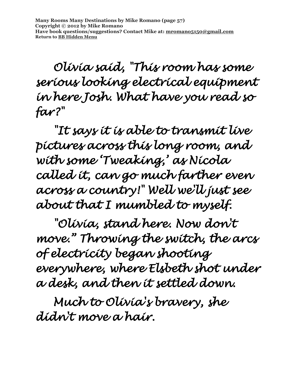*Olivia said, "This room has some serious looking electrical equipment in here Josh. What have you read so far?"* 

 *"It says it is able to transmit live pictures across this long room, and with some 'Tweaking,' as Nicola called it, can go much farther even across a country!" Well we'll just see about that I mumbled to myself.* 

 *"Olivia, stand here. Now don't move." Throwing the switch, the arcs of electricity began shooting everywhere, where Elsbeth shot under a desk, and then it settled down.* 

 *Much to Olivia's bravery, she didn't move a hair.*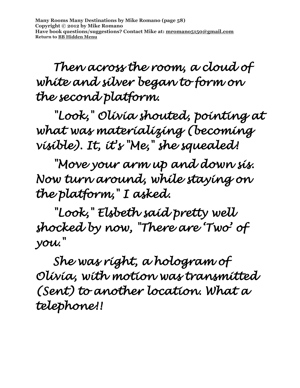*Then across the room, a cloud of white and silver began to form on the second platform.* 

 *"Look," Olivia shouted, pointing at what was materializing (becoming visible). It, it's "Me," she squealed!* 

 *"Move your arm up and down sis. Now turn around, while staying on the platform," I asked.* 

 *"Look," Elsbeth said pretty well shocked by now, "There are 'Two' of you."* 

 *She was right, a hologram of Olivia, with motion was transmitted (Sent) to another location. What a telephone!!*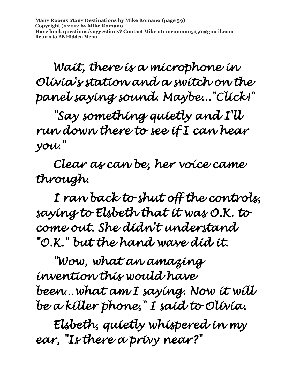**Many Rooms Many Destinations by Mike Romano (page 59) Copyright © 2012 by Mike Romano Have book questions/suggestions? Contact Mike at: [mromano5150@gmail.com](mailto:mromano5150@gmail.com) Return t[o BB Hidden Menu](https://www.bartlettbiographies.com/hidden-menu)**

 *Wait, there is a microphone in Olivia's station and a switch on the panel saying sound. Maybe..."Click!"* 

 *"Say something quietly and I'll run down there to see if I can hear you."* 

 *Clear as can be, her voice came through.* 

 *I ran back to shut off the controls, saying to Elsbeth that it was O.K. to come out. She didn't understand "O.K." but the hand wave did it.* 

 *"Wow, what an amazing invention this would have been…what am I saying. Now it will be a killer phone," I said to Olivia.* 

 *Elsbeth, quietly whispered in my ear, "Is there a privy near?"*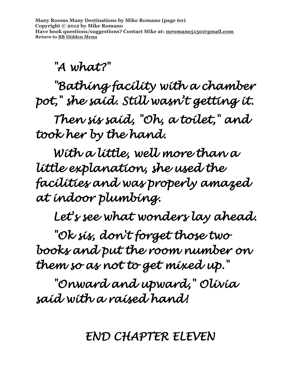*"A what?"* 

 *"Bathing facility with a chamber pot," she said. Still wasn't getting it.* 

 *Then sis said, "Oh, a toilet," and took her by the hand.* 

 *With a little, well more than a little explanation, she used the facilities and was properly amazed at indoor plumbing.* 

 *Let's see what wonders lay ahead.* 

*"Ok sis, don't forget those two books and put the room number on them so as not to get mixed up."* 

 *"Onward and upward," Olivia said with a raised hand!* 

*END CHAPTER ELEVEN*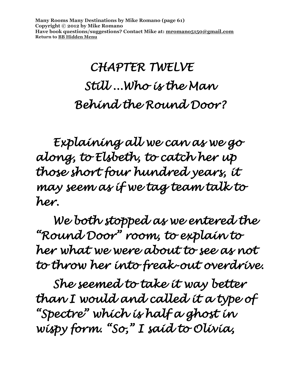**Many Rooms Many Destinations by Mike Romano (page 61) Copyright © 2012 by Mike Romano Have book questions/suggestions? Contact Mike at: [mromano5150@gmail.com](mailto:mromano5150@gmail.com) Return t[o BB Hidden Menu](https://www.bartlettbiographies.com/hidden-menu)**

# *CHAPTER TWELVE Still ...Who is the Man Behind the Round Door?*

 *Explaining all we can as we go along, to Elsbeth, to catch her up those short four hundred years, it may seem as if we tag team talk to her.* 

 *We both stopped as we entered the "Round Door" room, to explain to her what we were about to see as not to throw her into freak-out overdrive.* 

*She seemed to take it way better than I would and called it a type of "Spectre" which is half a ghost in wispy form. "So," I said to Olivia,*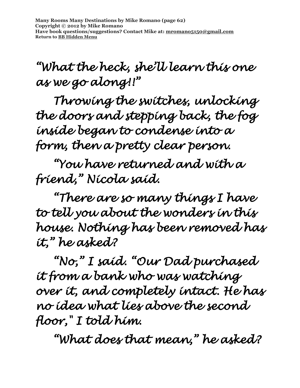**Many Rooms Many Destinations by Mike Romano (page 62) Copyright © 2012 by Mike Romano Have book questions/suggestions? Contact Mike at: [mromano5150@gmail.com](mailto:mromano5150@gmail.com) Return t[o BB Hidden Menu](https://www.bartlettbiographies.com/hidden-menu)**

### *"What the heck, she'll learn this one as we go along!!"*

*Throwing the switches, unlocking the doors and stepping back, the fog inside began to condense into a form, then a pretty clear person.* 

*"You have returned and with a friend," Nicola said.* 

*"There are so many things I have to tell you about the wonders in this house. Nothing has been removed has it," he asked?* 

*"No," I said. "Our Dad purchased it from a bank who was watching over it, and completely intact. He has no idea what lies above the second floor," I told him.* 

*"What does that mean," he asked?*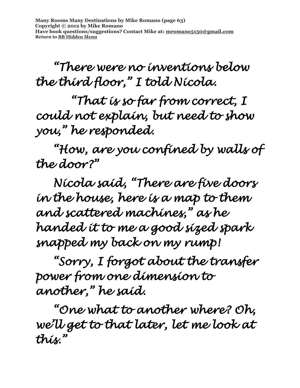**Many Rooms Many Destinations by Mike Romano (page 63) Copyright © 2012 by Mike Romano Have book questions/suggestions? Contact Mike at: [mromano5150@gmail.com](mailto:mromano5150@gmail.com) Return t[o BB Hidden Menu](https://www.bartlettbiographies.com/hidden-menu)**

*"There were no inventions below the third floor," I told Nicola.* 

 *"That is so far from correct, I could not explain, but need to show you," he responded.* 

*"How, are you confined by walls of the door?"* 

*Nicola said, "There are five doors in the house, here is a map to them and scattered machines," as he handed it to me a good sized spark snapped my back on my rump!* 

*"Sorry, I forgot about the transfer power from one dimension to another," he said.* 

*"One what to another where? Oh, we'll get to that later, let me look at this."*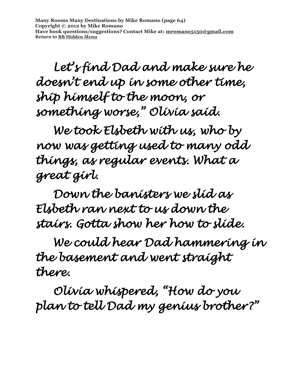**Many Rooms Many Destinations by Mike Romano (page 64) Copyright © 2012 by Mike Romano Have book questions/suggestions? Contact Mike at: [mromano5150@gmail.com](mailto:mromano5150@gmail.com) Return t[o BB Hidden Menu](https://www.bartlettbiographies.com/hidden-menu)**

*Let's find Dad and make sure he doesn't end up in some other time, ship himself to the moon, or something worse," Olivia said.* 

*We took Elsbeth with us, who by now was getting used to many odd things, as regular events. What a great girl.* 

*Down the banisters we slid as Elsbeth ran next to us down the stairs. Gotta show her how to slide.* 

 *We could hear Dad hammering in the basement and went straight there.* 

 *Olivia whispered, "How do you plan to tell Dad my genius brother?"*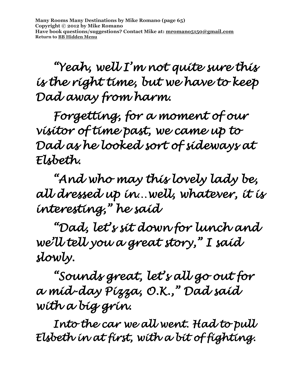*"Yeah, well I'm not quite sure this is the right time, but we have to keep Dad away from harm.* 

 *Forgetting, for a moment of our visitor of time past, we came up to Dad as he looked sort of sideways at Elsbeth.* 

 *"And who may this lovely lady be, all dressed up in…well, whatever, it is interesting," he said* 

 *"Dad, let's sit down for lunch and we'll tell you a great story," I said slowly.* 

 *"Sounds great, let's all go out for a mid-day Pizza, O.K., " Dad said with a big grin.* 

 *Into the car we all went. Had to pull Elsbeth in at first, with a bit of fighting.*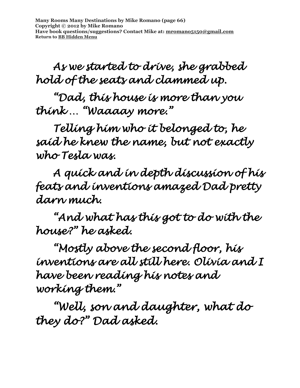*As we started to drive, she grabbed hold of the seats and clammed up.* 

 *"Dad, this house is more than you think … "Waaaay more."* 

 *Telling him who it belonged to, he said he knew the name, but not exactly who Tesla was.* 

 *A quick and in depth discussion of his feats and inventions amazed Dad pretty darn much.* 

 *"And what has this got to do with the house?" he asked.* 

 *"Mostly above the second floor, his inventions are all still here. Olivia and I have been reading his notes and working them."* 

 *"Well, son and daughter, what do they do?" Dad asked.*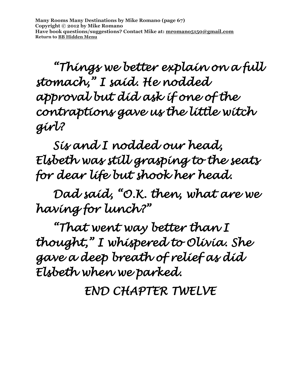**Many Rooms Many Destinations by Mike Romano (page 67) Copyright © 2012 by Mike Romano Have book questions/suggestions? Contact Mike at: [mromano5150@gmail.com](mailto:mromano5150@gmail.com) Return t[o BB Hidden Menu](https://www.bartlettbiographies.com/hidden-menu)**

 *"Things we better explain on a full stomach," I said. He nodded approval but did ask if one of the contraptions gave us the little witch girl?* 

 *Sis and I nodded our head, Elsbeth was still grasping to the seats for dear life but shook her head.* 

 *Dad said, "O.K. then, what are we having for lunch?"* 

 *"That went way better than I thought," I whispered to Olivia. She gave a deep breath of relief as did Elsbeth when we parked.* 

*END CHAPTER TWELVE*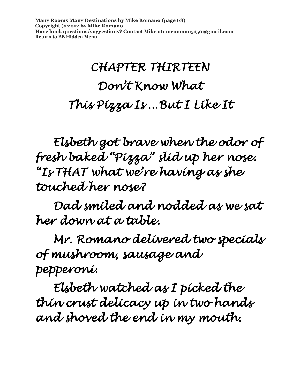**Many Rooms Many Destinations by Mike Romano (page 68) Copyright © 2012 by Mike Romano Have book questions/suggestions? Contact Mike at: [mromano5150@gmail.com](mailto:mromano5150@gmail.com) Return t[o BB Hidden Menu](https://www.bartlettbiographies.com/hidden-menu)**

# *CHAPTER THIRTEEN Don't Know What This Pizza Is …But I Like It*

 *Elsbeth got brave when the odor of fresh baked "Pizza" slid up her nose. "Is THAT what we're having as she touched her nose?* 

 *Dad smiled and nodded as we sat her down at a table.* 

 *Mr. Romano delivered two specials of mushroom, sausage and pepperoni.* 

*Elsbeth watched as I picked the thin crust delicacy up in two hands and shoved the end in my mouth.*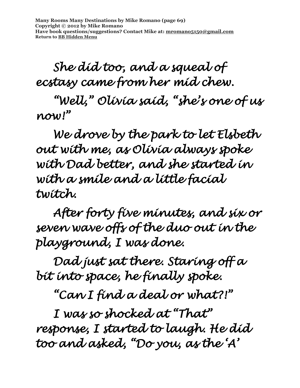**Many Rooms Many Destinations by Mike Romano (page 69) Copyright © 2012 by Mike Romano Have book questions/suggestions? Contact Mike at: [mromano5150@gmail.com](mailto:mromano5150@gmail.com) Return t[o BB Hidden Menu](https://www.bartlettbiographies.com/hidden-menu)**

 *She did too, and a squeal of ecstasy came from her mid chew.* 

 *"Well," Olivia said, "she's one of us now!"* 

 *We drove by the park to let Elsbeth out with me, as Olivia always spoke with Dad better, and she started in with a smile and a little facial twitch.* 

 *After forty five minutes, and six or seven wave offs of the duo out in the playground, I was done.* 

 *Dad just sat there. Staring off a bit into space, he finally spoke.* 

 *"Can I find a deal or what?!"* 

 *I was so shocked at "That" response, I started to laugh. He did too and asked, "Do you, as the 'A'*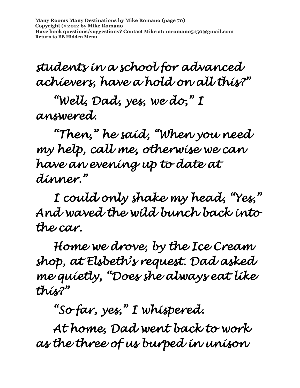**Many Rooms Many Destinations by Mike Romano (page 70) Copyright © 2012 by Mike Romano Have book questions/suggestions? Contact Mike at: [mromano5150@gmail.com](mailto:mromano5150@gmail.com) Return t[o BB Hidden Menu](https://www.bartlettbiographies.com/hidden-menu)**

*students in a school for advanced achievers, have a hold on all this?"* 

*"Well, Dad, yes, we do," I answered.* 

 *"Then," he said, "When you need my help, call me, otherwise we can have an evening up to date at dinner."* 

 *I could only shake my head, "Yes," And waved the wild bunch back into the car.* 

 *Home we drove, by the Ice Cream shop, at Elsbeth's request. Dad asked me quietly, "Does she always eat like this?"* 

 *"So far, yes," I whispered.* 

 *At home, Dad went back to work as the three of us burped in unison*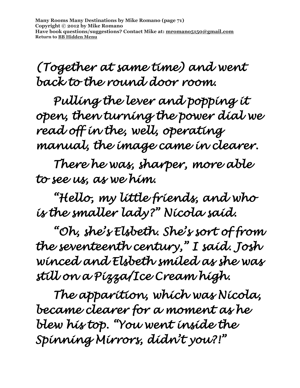**Many Rooms Many Destinations by Mike Romano (page 71) Copyright © 2012 by Mike Romano Have book questions/suggestions? Contact Mike at: [mromano5150@gmail.com](mailto:mromano5150@gmail.com) Return t[o BB Hidden Menu](https://www.bartlettbiographies.com/hidden-menu)**

*(Together at same time) and went back to the round door room.* 

 *Pulling the lever and popping it open, then turning the power dial we read off in the, well, operating manual, the image came in clearer.* 

 *There he was, sharper, more able to see us, as we him.* 

 *"Hello, my little friends, and who is the smaller lady?" Nicola said.* 

 *"Oh, she's Elsbeth. She's sort of from the seventeenth century," I said. Josh winced and Elsbeth smiled as she was still on a Pizza/Ice Cream high.* 

 *The apparition, which was Nicola, became clearer for a moment as he blew his top. "You went inside the Spinning Mirrors, didn't you?!"*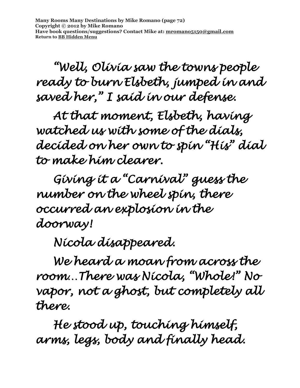**Many Rooms Many Destinations by Mike Romano (page 72) Copyright © 2012 by Mike Romano Have book questions/suggestions? Contact Mike at: [mromano5150@gmail.com](mailto:mromano5150@gmail.com) Return t[o BB Hidden Menu](https://www.bartlettbiographies.com/hidden-menu)**

 *"Well, Olivia saw the towns people ready to burn Elsbeth, jumped in and saved her," I said in our defense.* 

 *At that moment, Elsbeth, having watched us with some of the dials, decided on her own to spin "His" dial to make him clearer.* 

 *Giving it a "Carnival" guess the number on the wheel spin, there occurred an explosion in the doorway!* 

 *Nicola disappeared.* 

 *We heard a moan from across the room…There was Nicola, "Whole!" No vapor, not a ghost, but completely all there.* 

 *He stood up, touching himself, arms, legs, body and finally head.*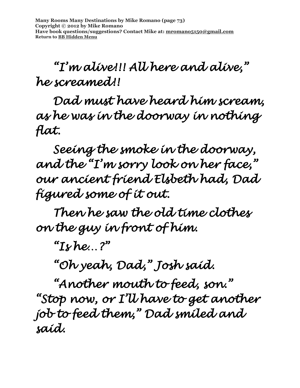# *"I'm alive!!! All here and alive," he screamed!!*

 *Dad must have heard him scream, as he was in the doorway in nothing flat.* 

 *Seeing the smoke in the doorway, and the "I'm sorry look on her face," our ancient friend Elsbeth had, Dad figured some of it out.* 

 *Then he saw the old time clothes on the guy in front of him.* 

 ${}^{\alpha}I$ *s* he. ?"

 *"Oh yeah, Dad," Josh said.* 

 *"Another mouth to feed, son." "Stop now, or I'll have to get another job to feed them," Dad smiled and said.*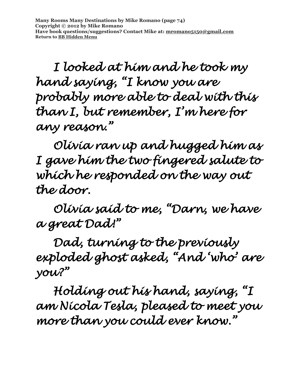**Many Rooms Many Destinations by Mike Romano (page 74) Copyright © 2012 by Mike Romano Have book questions/suggestions? Contact Mike at: [mromano5150@gmail.com](mailto:mromano5150@gmail.com) Return t[o BB Hidden Menu](https://www.bartlettbiographies.com/hidden-menu)**

 *I looked at him and he took my hand saying, "I know you are probably more able to deal with this than I, but remember, I'm here for any reason."* 

 *Olivia ran up and hugged him as I gave him the two fingered salute to which he responded on the way out the door.* 

 *Olivia said to me, "Darn, we have a great Dad!"* 

 *Dad, turning to the previously exploded ghost asked, "And 'who' are you?"* 

 *Holding out his hand, saying, "I am Nicola Tesla, pleased to meet you more than you could ever know."*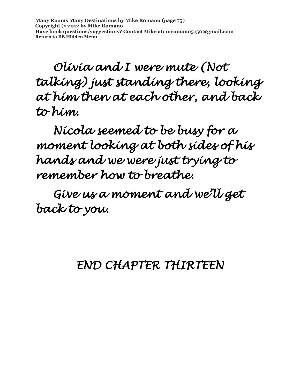**Many Rooms Many Destinations by Mike Romano (page 75) Copyright © 2012 by Mike Romano Have book questions/suggestions? Contact Mike at: [mromano5150@gmail.com](mailto:mromano5150@gmail.com) Return t[o BB Hidden Menu](https://www.bartlettbiographies.com/hidden-menu)**

 *Olivia and I were mute (Not talking) just standing there, looking at him then at each other, and back to him.* 

 *Nicola seemed to be busy for a moment looking at both sides of his hands and we were just trying to remember how to breathe.* 

 *Give us a moment and we'll get back to you.* 

#### *END CHAPTER THIRTEEN*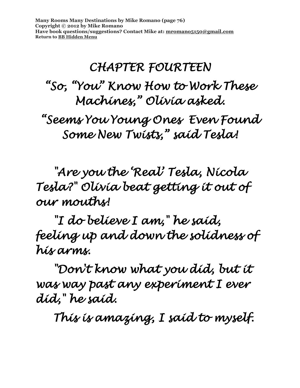**Many Rooms Many Destinations by Mike Romano (page 76) Copyright © 2012 by Mike Romano Have book questions/suggestions? Contact Mike at: [mromano5150@gmail.com](mailto:mromano5150@gmail.com) Return t[o BB Hidden Menu](https://www.bartlettbiographies.com/hidden-menu)**

#### *CHAPTER FOURTEEN*

### *"So, "You" Know How to Work These Machines," Olivia asked.*

*"Seems You Young Ones Even Found Some New Twists," said Tesla!* 

 *"Are you the 'Real' Tesla, Nicola Tesla?" Olivia beat getting it out of our mouths!* 

 *"I do believe I am," he said, feeling up and down the solidness of his arms.* 

 *"Don't know what you did, but it was way past any experiment I ever did," he said.* 

 *This is amazing, I said to myself.*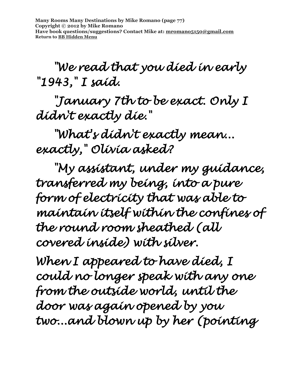**Many Rooms Many Destinations by Mike Romano (page 77) Copyright © 2012 by Mike Romano Have book questions/suggestions? Contact Mike at: [mromano5150@gmail.com](mailto:mromano5150@gmail.com) Return t[o BB Hidden Menu](https://www.bartlettbiographies.com/hidden-menu)**

 *"We read that you died in early "1943," I said.* 

 *"January 7th to be exact. Only I didn't exactly die."* 

 *"What's didn't exactly mean... exactly," Olivia asked?* 

 *"My assistant, under my guidance, transferred my being, into a pure form of electricity that was able to maintain itself within the confines of the round room sheathed (all covered inside) with silver.* 

*When I appeared to have died, I could no longer speak with any one from the outside world, until the door was again opened by you two...and blown up by her (pointing*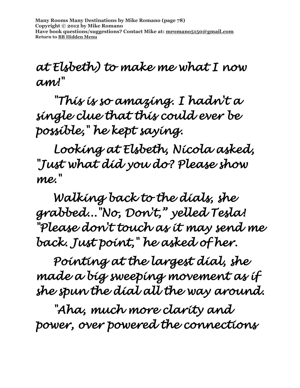**Many Rooms Many Destinations by Mike Romano (page 78) Copyright © 2012 by Mike Romano Have book questions/suggestions? Contact Mike at: [mromano5150@gmail.com](mailto:mromano5150@gmail.com) Return t[o BB Hidden Menu](https://www.bartlettbiographies.com/hidden-menu)**

#### *at Elsbeth) to make me what I now am!"*

 *"This is so amazing. I hadn't a single clue that this could ever be possible," he kept saying.* 

 *Looking at Elsbeth, Nicola asked, "Just what did you do? Please show me."* 

 *Walking back to the dials, she grabbed..."No, Don't," yelled Tesla! "Please don't touch as it may send me back. Just point," he asked of her.* 

 *Pointing at the largest dial, she made a big sweeping movement as if she spun the dial all the way around.* 

 *"Aha, much more clarity and power, over powered the connections*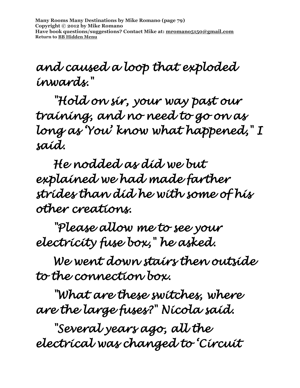**Many Rooms Many Destinations by Mike Romano (page 79) Copyright © 2012 by Mike Romano Have book questions/suggestions? Contact Mike at: [mromano5150@gmail.com](mailto:mromano5150@gmail.com) Return t[o BB Hidden Menu](https://www.bartlettbiographies.com/hidden-menu)**

## *and caused a loop that exploded inwards."*

 *"Hold on sir, your way past our training, and no need to go on as long as 'You' know what happened," I said.* 

 *He nodded as did we but explained we had made farther strides than did he with some of his other creations.* 

 *"Please allow me to see your electricity fuse box," he asked.* 

 *We went down stairs then outside to the connection box.* 

 *"What are these switches, where are the large fuses?" Nicola said.* 

 *"Several years ago, all the electrical was changed to 'Circuit*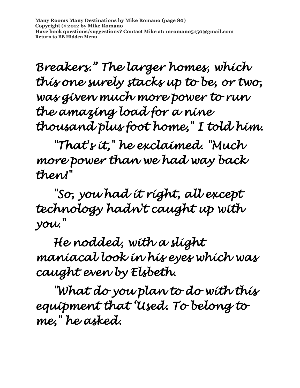**Many Rooms Many Destinations by Mike Romano (page 80) Copyright © 2012 by Mike Romano Have book questions/suggestions? Contact Mike at: [mromano5150@gmail.com](mailto:mromano5150@gmail.com) Return t[o BB Hidden Menu](https://www.bartlettbiographies.com/hidden-menu)**

*Breakers." The larger homes, which this one surely stacks up to be, or two, was given much more power to run the amazing load for a nine thousand plus foot home," I told him.* 

 *"That's it," he exclaimed. "Much more power than we had way back then!"* 

 *"So, you had it right, all except technology hadn't caught up with you."* 

 *He nodded, with a slight maniacal look in his eyes which was caught even by Elsbeth.* 

 *"What do you plan to do with this equipment that 'Used. To belong to me," he asked.*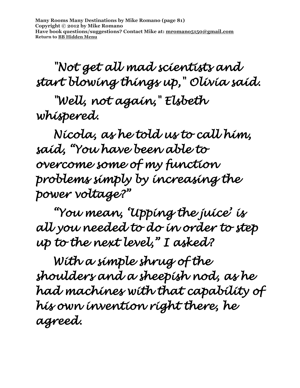*"Not get all mad scientists and start blowing things up," Olivia said.* 

 *"Well, not again," Elsbeth whispered.* 

 *Nicola, as he told us to call him, said, "You have been able to overcome some of my function problems simply by increasing the power voltage?"* 

 *"You mean, 'Upping the juice' is all you needed to do in order to step up to the next level," I asked?* 

 *With a simple shrug of the shoulders and a sheepish nod, as he had machines with that capability of his own invention right there, he agreed.*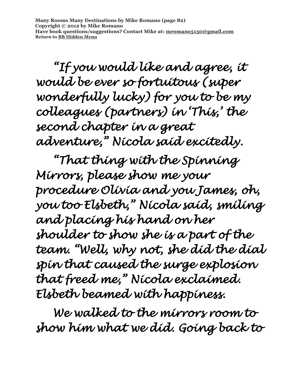**Many Rooms Many Destinations by Mike Romano (page 82) Copyright © 2012 by Mike Romano Have book questions/suggestions? Contact Mike at: [mromano5150@gmail.com](mailto:mromano5150@gmail.com) Return t[o BB Hidden Menu](https://www.bartlettbiographies.com/hidden-menu)**

 *"If you would like and agree, it would be ever so fortuitous (super wonderfully lucky) for you to be my colleagues (partners) in 'This,' the second chapter in a great adventure," Nicola said excitedly.* 

 *"That thing with the Spinning Mirrors, please show me your procedure Olivia and you James, oh, you too Elsbeth," Nicola said, smiling and placing his hand on her shoulder to show she is a part of the team. "Well, why not, she did the dial spin that caused the surge explosion that freed me," Nicola exclaimed. Elsbeth beamed with happiness.* 

 *We walked to the mirrors room to show him what we did. Going back to*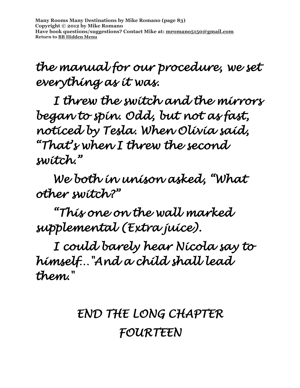**Many Rooms Many Destinations by Mike Romano (page 83) Copyright © 2012 by Mike Romano Have book questions/suggestions? Contact Mike at: [mromano5150@gmail.com](mailto:mromano5150@gmail.com) Return t[o BB Hidden Menu](https://www.bartlettbiographies.com/hidden-menu)**

*the manual for our procedure, we set everything as it was.* 

*I threw the switch and the mirrors began to spin. Odd, but not as fast, noticed by Tesla. When Olivia said, "That's when I threw the second switch."* 

 *We both in unison asked, "What other switch?"* 

 *"This one on the wall marked supplemental (Extra juice).* 

 *I could barely hear Nicola say to himself…"And a child shall lead them."* 

# *END THE LONG CHAPTER FOURTEEN*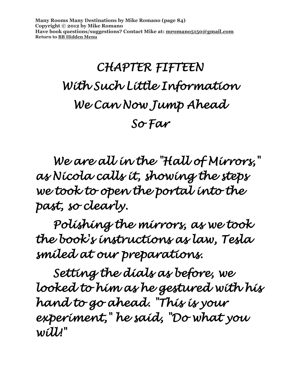**Many Rooms Many Destinations by Mike Romano (page 84) Copyright © 2012 by Mike Romano Have book questions/suggestions? Contact Mike at: [mromano5150@gmail.com](mailto:mromano5150@gmail.com) Return t[o BB Hidden Menu](https://www.bartlettbiographies.com/hidden-menu)**

# *CHAPTER FIFTEEN With Such Little Information We Can Now Jump Ahead So Far*

 *We are all in the "Hall of Mirrors," as Nicola calls it, showing the steps we took to open the portal into the past, so clearly.* 

 *Polishing the mirrors, as we took the book's instructions as law, Tesla smiled at our preparations.* 

 *Setting the dials as before, we looked to him as he gestured with his hand to go ahead. "This is your experiment," he said, "Do what you will!"*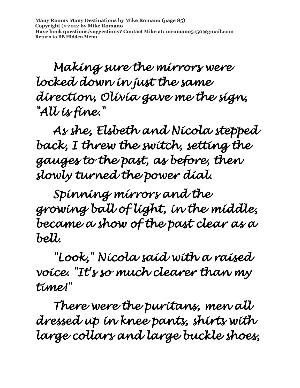**Many Rooms Many Destinations by Mike Romano (page 85) Copyright © 2012 by Mike Romano Have book questions/suggestions? Contact Mike at: [mromano5150@gmail.com](mailto:mromano5150@gmail.com) Return t[o BB Hidden Menu](https://www.bartlettbiographies.com/hidden-menu)**

 *Making sure the mirrors were locked down in just the same direction, Olivia gave me the sign, "All is fine."* 

 *As she, Elsbeth and Nicola stepped back, I threw the switch, setting the gauges to the past, as before, then slowly turned the power dial.* 

 *Spinning mirrors and the growing ball of light, in the middle, became a show of the past clear as a bell.* 

 *"Look," Nicola said with a raised voice. "It's so much clearer than my time!"* 

 *There were the puritans, men all dressed up in knee pants, shirts with large collars and large buckle shoes,*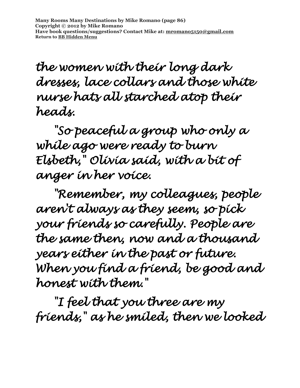**Many Rooms Many Destinations by Mike Romano (page 86) Copyright © 2012 by Mike Romano Have book questions/suggestions? Contact Mike at: [mromano5150@gmail.com](mailto:mromano5150@gmail.com) Return t[o BB Hidden Menu](https://www.bartlettbiographies.com/hidden-menu)**

*the women with their long dark dresses, lace collars and those white nurse hats all starched atop their heads.* 

 *"So peaceful a group who only a while ago were ready to burn Elsbeth," Olivia said, with a bit of anger in her voice.* 

 *"Remember, my colleagues, people aren't always as they seem, so pick your friends so carefully. People are the same then, now and a thousand years either in the past or future. When you find a friend, be good and honest with them."* 

 *"I feel that you three are my friends," as he smiled, then we looked*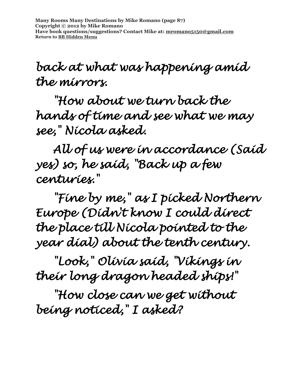# *back at what was happening amid the mirrors.*

 *"How about we turn back the hands of time and see what we may see," Nicola asked.* 

 *All of us were in accordance (Said yes) so, he said, "Back up a few centuries."* 

 *"Fine by me," as I picked Northern Europe (Didn't know I could direct the place till Nicola pointed to the year dial) about the tenth century.* 

 *"Look," Olivia said, "Vikings in their long dragon headed ships!"* 

 *"How close can we get without being noticed," I asked?*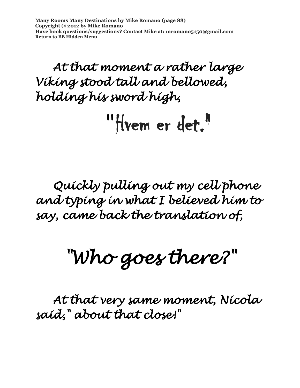**Many Rooms Many Destinations by Mike Romano (page 88) Copyright © 2012 by Mike Romano Have book questions/suggestions? Contact Mike at: [mromano5150@gmail.com](mailto:mromano5150@gmail.com) Return t[o BB Hidden Menu](https://www.bartlettbiographies.com/hidden-menu)**

### *At that moment a rather large Viking stood tall and bellowed, holding his sword high,*

"Hvem er det."

# *Quickly pulling out my cell phone and typing in what I believed him to say, came back the translation of,*

# *"Who goes there?"*

 *At that very same moment, Nicola said," about that close!"*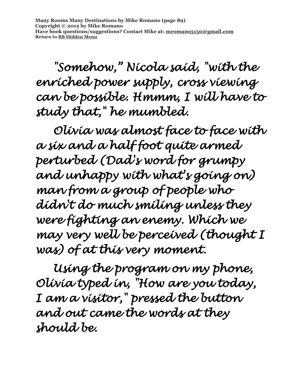**Many Rooms Many Destinations by Mike Romano (page 89) Copyright © 2012 by Mike Romano Have book questions/suggestions? Contact Mike at: [mromano5150@gmail.com](mailto:mromano5150@gmail.com) Return t[o BB Hidden Menu](https://www.bartlettbiographies.com/hidden-menu)**

 *"Somehow," Nicola said, "with the enriched power supply, cross viewing can be possible. Hmmm, I will have to study that," he mumbled.* 

 *Olivia was almost face to face with a six and a half foot quite armed perturbed (Dad's word for grumpy and unhappy with what's going on) man from a group of people who didn't do much smiling unless they were fighting an enemy. Which we may very well be perceived (thought I was) of at this very moment.* 

 *Using the program on my phone, Olivia typed in, "How are you today, I am a visitor," pressed the button and out came the words at they should be.*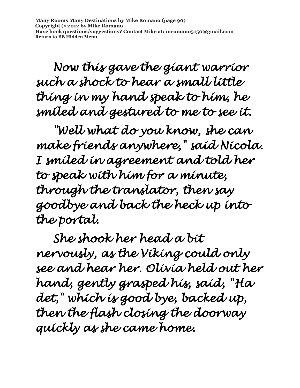**Many Rooms Many Destinations by Mike Romano (page 90) Copyright © 2012 by Mike Romano Have book questions/suggestions? Contact Mike at: [mromano5150@gmail.com](mailto:mromano5150@gmail.com) Return t[o BB Hidden Menu](https://www.bartlettbiographies.com/hidden-menu)**

 *Now this gave the giant warrior such a shock to hear a small little thing in my hand speak to him, he smiled and gestured to me to see it.* 

 *"Well what do you know, she can make friends anywhere," said Nicola. I smiled in agreement and told her to speak with him for a minute, through the translator, then say goodbye and back the heck up into the portal.* 

*She shook her head a bit nervously, as the Viking could only see and hear her. Olivia held out her hand, gently grasped his, said, "Ha det," which is good bye, backed up, then the flash closing the doorway quickly as she came home.*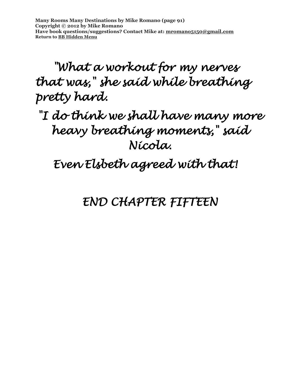**Many Rooms Many Destinations by Mike Romano (page 91) Copyright © 2012 by Mike Romano Have book questions/suggestions? Contact Mike at: [mromano5150@gmail.com](mailto:mromano5150@gmail.com) Return t[o BB Hidden Menu](https://www.bartlettbiographies.com/hidden-menu)**

*"What a workout for my nerves that was," she said while breathing pretty hard.* 

*"I do think we shall have many more heavy breathing moments," said Nicola.* 

 *Even Elsbeth agreed with that!* 

*END CHAPTER FIFTEEN*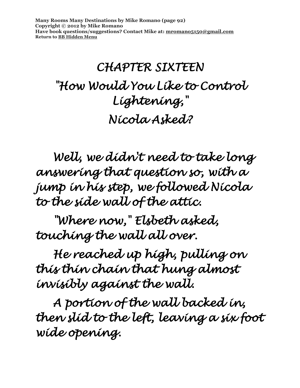**Many Rooms Many Destinations by Mike Romano (page 92) Copyright © 2012 by Mike Romano Have book questions/suggestions? Contact Mike at: [mromano5150@gmail.com](mailto:mromano5150@gmail.com) Return t[o BB Hidden Menu](https://www.bartlettbiographies.com/hidden-menu)**

# *CHAPTER SIXTEEN "How Would You Like to Control Lightening," Nicola Asked?*

 *Well, we didn't need to take long answering that question so, with a jump in his step, we followed Nicola to the side wall of the attic.* 

 *"Where now," Elsbeth asked, touching the wall all over.* 

 *He reached up high, pulling on this thin chain that hung almost invisibly against the wall.* 

 *A portion of the wall backed in, then slid to the left, leaving a six foot wide opening.*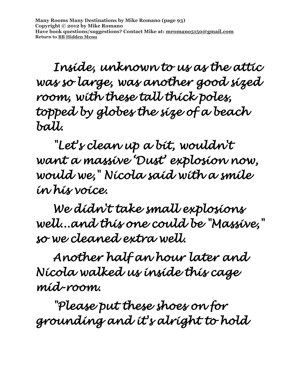*Inside, unknown to us as the attic was so large, was another good sized room, with these tall thick poles, topped by globes the size of a beach ball.* 

 *"Let's clean up a bit, wouldn't want a massive 'Dust' explosion now, would we," Nicola said with a smile in his voice.* 

 *We didn't take small explosions well...and this one could be "Massive," so we cleaned extra well.* 

 *Another half an hour later and Nicola walked us inside this cage mid-room.* 

 *"Please put these shoes on for grounding and it's alright to hold*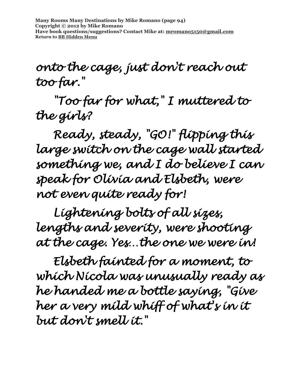**Many Rooms Many Destinations by Mike Romano (page 94) Copyright © 2012 by Mike Romano Have book questions/suggestions? Contact Mike at: [mromano5150@gmail.com](mailto:mromano5150@gmail.com) Return t[o BB Hidden Menu](https://www.bartlettbiographies.com/hidden-menu)**

#### *onto the cage, just don't reach out too far."*

 *"Too far for what," I muttered to the girls?* 

 *Ready, steady, "GO!" flipping this large switch on the cage wall started something we, and I do believe I can speak for Olivia and Elsbeth, were not even quite ready for!* 

 *Lightening bolts of all sizes, lengths and severity, were shooting at the cage. Yes…the one we were in!* 

 *Elsbeth fainted for a moment, to which Nicola was unusually ready as he handed me a bottle saying, "Give her a very mild whiff of what's in it but don't smell it."*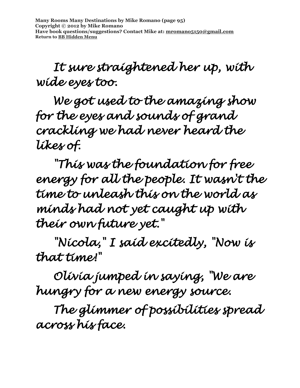**Many Rooms Many Destinations by Mike Romano (page 95) Copyright © 2012 by Mike Romano Have book questions/suggestions? Contact Mike at: [mromano5150@gmail.com](mailto:mromano5150@gmail.com) Return t[o BB Hidden Menu](https://www.bartlettbiographies.com/hidden-menu)**

## *It sure straightened her up, with wide eyes too.*

 *We got used to the amazing show for the eyes and sounds of grand crackling we had never heard the likes of.* 

 *"This was the foundation for free energy for all the people. It wasn't the time to unleash this on the world as minds had not yet caught up with their own future yet."* 

 *"Nicola," I said excitedly, "Now is that time!"* 

 *Olivia jumped in saying, "We are hungry for a new energy source.* 

 *The glimmer of possibilities spread across his face.*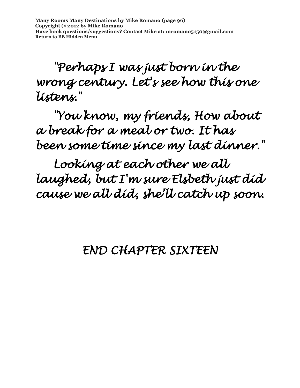*"Perhaps I was just born in the wrong century. Let's see how this one listens."* 

 *"You know, my friends, How about a break for a meal or two. It has been some time since my last dinner."* 

 *Looking at each other we all laughed, but I'm sure Elsbeth just did cause we all did, she'll catch up soon.* 

#### *END CHAPTER SIXTEEN*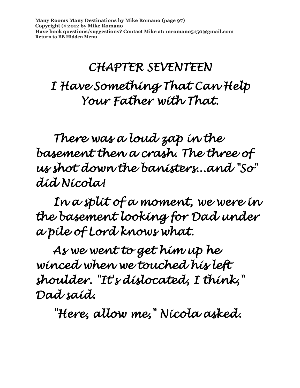# *CHAPTER SEVENTEEN I Have Something That Can Help Your Father with That.*

 *There was a loud zap in the basement then a crash. The three of us shot down the banisters...and "So" did Nicola!* 

 *In a split of a moment, we were in the basement looking for Dad under a pile of Lord knows what.* 

 *As we went to get him up he winced when we touched his left shoulder. "It's dislocated, I think," Dad said.* 

 *"Here, allow me," Nicola asked.*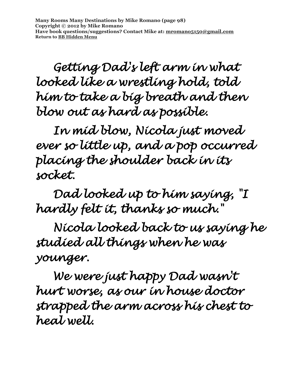**Many Rooms Many Destinations by Mike Romano (page 98) Copyright © 2012 by Mike Romano Have book questions/suggestions? Contact Mike at: [mromano5150@gmail.com](mailto:mromano5150@gmail.com) Return t[o BB Hidden Menu](https://www.bartlettbiographies.com/hidden-menu)**

 *Getting Dad's left arm in what looked like a wrestling hold, told him to take a big breath and then blow out as hard as possible.* 

 *In mid blow, Nicola just moved ever so little up, and a pop occurred placing the shoulder back in its socket.* 

 *Dad looked up to him saying, "I hardly felt it, thanks so much."* 

 *Nicola looked back to us saying he studied all things when he was younger.* 

 *We were just happy Dad wasn't hurt worse, as our in house doctor strapped the arm across his chest to heal well.*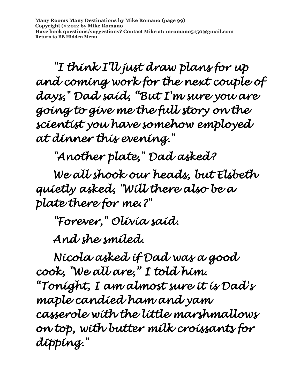**Many Rooms Many Destinations by Mike Romano (page 99) Copyright © 2012 by Mike Romano Have book questions/suggestions? Contact Mike at: [mromano5150@gmail.com](mailto:mromano5150@gmail.com) Return t[o BB Hidden Menu](https://www.bartlettbiographies.com/hidden-menu)**

 *"I think I'll just draw plans for up and coming work for the next couple of days," Dad said, "But I'm sure you are going to give me the full story on the scientist you have somehow employed at dinner this evening."* 

*"Another plate," Dad asked?* 

 *We all shook our heads, but Elsbeth quietly asked, "Will there also be a plate there for me.?"* 

 *"Forever," Olivia said.* 

 *And she smiled.* 

 *Nicola asked if Dad was a good cook, "We all are," I told him. "Tonight, I am almost sure it is Dad's maple candied ham and yam casserole with the little marshmallows on top, with butter milk croissants for dipping."*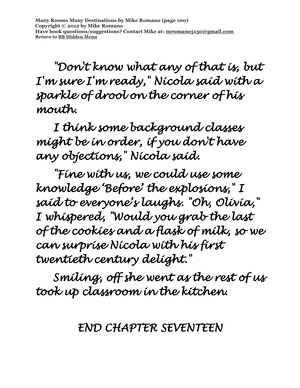*"Don't know what any of that is, but I'm sure I'm ready," Nicola said with a sparkle of drool on the corner of his mouth.* 

 *I think some background classes might be in order, if you don't have any objections," Nicola said.* 

 *"Fine with us, we could use some knowledge 'Before' the explosions," I said to everyone's laughs. "Oh, Olivia," I whispered, "Would you grab the last of the cookies and a flask of milk, so we can surprise Nicola with his first twentieth century delight."* 

 *Smiling, off she went as the rest of us took up classroom in the kitchen.* 

*END CHAPTER SEVENTEEN*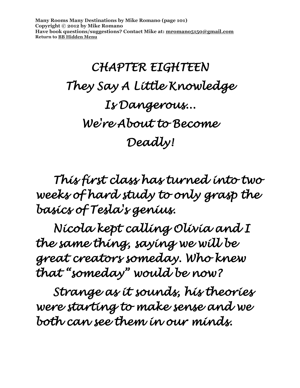**Many Rooms Many Destinations by Mike Romano (page 101) Copyright © 2012 by Mike Romano Have book questions/suggestions? Contact Mike at: [mromano5150@gmail.com](mailto:mromano5150@gmail.com) Return t[o BB Hidden Menu](https://www.bartlettbiographies.com/hidden-menu)**

# *CHAPTER EIGHTEEN They Say A Little Knowledge Is Dangerous... We're About to Become Deadly!*

 *This first class has turned into two weeks of hard study to only grasp the basics of Tesla's genius.* 

 *Nicola kept calling Olivia and I the same thing, saying we will be great creators someday. Who knew that "someday" would be now?* 

 *Strange as it sounds, his theories were starting to make sense and we both can see them in our minds.*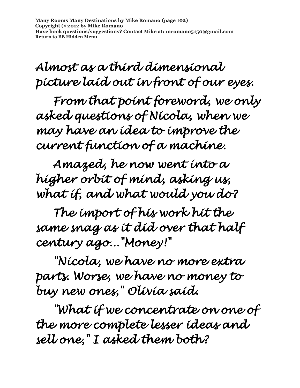**Many Rooms Many Destinations by Mike Romano (page 102) Copyright © 2012 by Mike Romano Have book questions/suggestions? Contact Mike at: [mromano5150@gmail.com](mailto:mromano5150@gmail.com) Return t[o BB Hidden Menu](https://www.bartlettbiographies.com/hidden-menu)**

*Almost as a third dimensional picture laid out in front of our eyes.* 

 *From that point foreword, we only asked questions of Nicola, when we may have an idea to improve the current function of a machine.* 

 *Amazed, he now went into a higher orbit of mind, asking us, what if, and what would you do?* 

 *The import of his work hit the same snag as it did over that half century ago..."Money!"* 

 *"Nicola, we have no more extra parts. Worse, we have no money to buy new ones," Olivia said.* 

 *"What if we concentrate on one of the more complete lesser ideas and sell one," I asked them both?*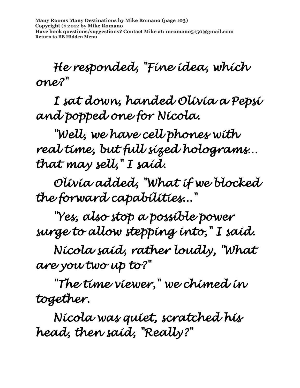*He responded, "Fine idea, which one?"* 

 *I sat down, handed Olivia a Pepsi and popped one for Nicola.* 

 *"Well, we have cell phones with real time, but full sized holograms… that may sell," I said.* 

 *Olivia added, "What if we blocked the forward capabilities..."* 

 *"Yes, also stop a possible power surge to allow stepping into," I said.* 

 *Nicola said, rather loudly, "What are you two up to?"* 

 *"The time viewer," we chimed in together.* 

 *Nicola was quiet, scratched his head, then said, "Really?"*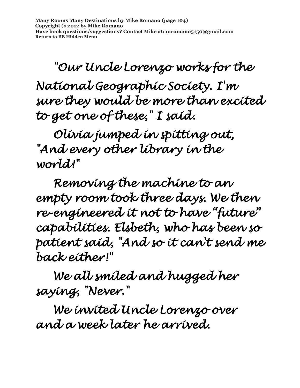**Many Rooms Many Destinations by Mike Romano (page 104) Copyright © 2012 by Mike Romano Have book questions/suggestions? Contact Mike at: [mromano5150@gmail.com](mailto:mromano5150@gmail.com) Return t[o BB Hidden Menu](https://www.bartlettbiographies.com/hidden-menu)**

 *"Our Uncle Lorenzo works for the* 

*National Geographic Society. I'm sure they would be more than excited to get one of these," I said.* 

 *Olivia jumped in spitting out, "And every other library in the world!"* 

 *Removing the machine to an empty room took three days. We then re-engineered it not to have "future" capabilities. Elsbeth, who has been so patient said, "And so it can't send me back either!"* 

 *We all smiled and hugged her saying, "Never."* 

 *We invited Uncle Lorenzo over and a week later he arrived.*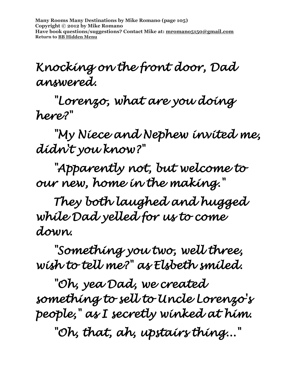**Many Rooms Many Destinations by Mike Romano (page 105) Copyright © 2012 by Mike Romano Have book questions/suggestions? Contact Mike at: [mromano5150@gmail.com](mailto:mromano5150@gmail.com) Return t[o BB Hidden Menu](https://www.bartlettbiographies.com/hidden-menu)**

#### *Knocking on the front door, Dad answered.*

 *"Lorenzo, what are you doing here?"* 

 *"My Niece and Nephew invited me, didn't you know?"* 

 *"Apparently not, but welcome to our new, home in the making."* 

 *They both laughed and hugged while Dad yelled for us to come down.* 

 *"Something you two, well three, wish to tell me?" as Elsbeth smiled.* 

 *"Oh, yea Dad, we created something to sell to Uncle Lorenzo's people," as I secretly winked at him.* 

 *"Oh, that, ah, upstairs thing..."*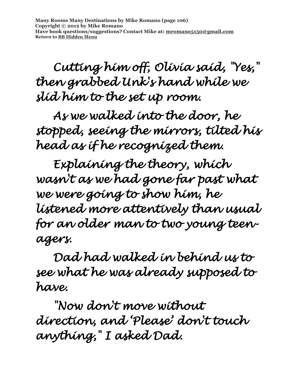*Cutting him off, Olivia said, "Yes," then grabbed Unk's hand while we slid him to the set up room.* 

 *As we walked into the door, he stopped, seeing the mirrors, tilted his head as if he recognized them.* 

 *Explaining the theory, which wasn't as we had gone far past what we were going to show him, he listened more attentively than usual for an older man to two young teenagers.* 

 *Dad had walked in behind us to see what he was already supposed to have.* 

 *"Now don't move without direction, and 'Please' don't touch anything," I asked Dad.*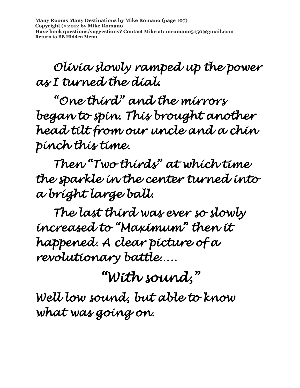**Many Rooms Many Destinations by Mike Romano (page 107) Copyright © 2012 by Mike Romano Have book questions/suggestions? Contact Mike at: [mromano5150@gmail.com](mailto:mromano5150@gmail.com) Return t[o BB Hidden Menu](https://www.bartlettbiographies.com/hidden-menu)**

 *Olivia slowly ramped up the power as I turned the dial.* 

 *"One third" and the mirrors began to spin. This brought another head tilt from our uncle and a chin pinch this time.* 

 *Then "Two thirds" at which time the sparkle in the center turned into a bright large ball.* 

 *The last third was ever so slowly increased to "Maximum" then it happened. A clear picture of a revolutionary battle…..* 

*"With sound,"* 

*Well low sound, but able to know what was going on.*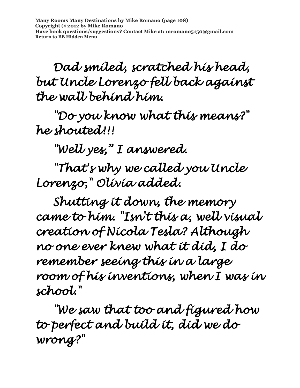**Many Rooms Many Destinations by Mike Romano (page 108) Copyright © 2012 by Mike Romano Have book questions/suggestions? Contact Mike at: [mromano5150@gmail.com](mailto:mromano5150@gmail.com) Return t[o BB Hidden Menu](https://www.bartlettbiographies.com/hidden-menu)**

 *Dad smiled, scratched his head, but Uncle Lorenzo fell back against the wall behind him.* 

 *"Do you know what this means?" he shouted!!!* 

 *"Well yes," I answered.* 

 *"That's why we called you Uncle Lorenzo," Olivia added.* 

 *Shutting it down, the memory came to him. "Isn't this a, well visual creation of Nicola Tesla? Although no one ever knew what it did, I do remember seeing this in a large room of his inventions, when I was in school."* 

 *"We saw that too and figured how to perfect and build it, did we do wrong?"*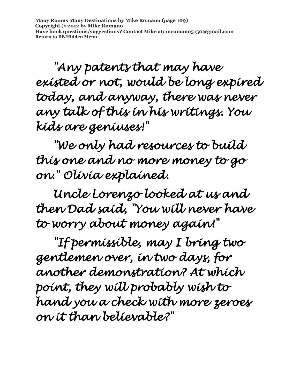**Many Rooms Many Destinations by Mike Romano (page 109) Copyright © 2012 by Mike Romano Have book questions/suggestions? Contact Mike at: [mromano5150@gmail.com](mailto:mromano5150@gmail.com) Return t[o BB Hidden Menu](https://www.bartlettbiographies.com/hidden-menu)**

 *"Any patents that may have existed or not, would be long expired today, and anyway, there was never any talk of this in his writings. You kids are geniuses!"* 

 *"We only had resources to build this one and no more money to go on." Olivia explained.* 

 *Uncle Lorenzo looked at us and then Dad said, "You will never have to worry about money again!"* 

 *"If permissible, may I bring two gentlemen over, in two days, for another demonstration? At which point, they will probably wish to hand you a check with more zeroes on it than believable?"*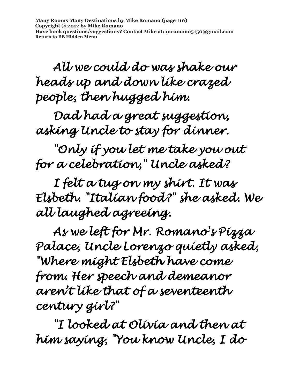**Many Rooms Many Destinations by Mike Romano (page 110) Copyright © 2012 by Mike Romano Have book questions/suggestions? Contact Mike at: [mromano5150@gmail.com](mailto:mromano5150@gmail.com) Return t[o BB Hidden Menu](https://www.bartlettbiographies.com/hidden-menu)**

 *All we could do was shake our heads up and down like crazed people, then hugged him.* 

 *Dad had a great suggestion, asking Uncle to stay for dinner.* 

 *"Only if you let me take you out for a celebration," Uncle asked?* 

 *I felt a tug on my shirt. It was Elsbeth. "Italian food?" she asked. We all laughed agreeing.* 

 *As we left for Mr. Romano's Pizza Palace, Uncle Lorenzo quietly asked, "Where might Elsbeth have come from. Her speech and demeanor aren't like that of a seventeenth century girl?"* 

 *"I looked at Olivia and then at him saying, "You know Uncle, I do*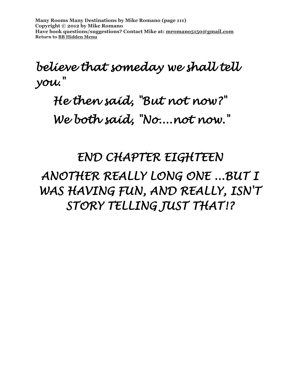**Many Rooms Many Destinations by Mike Romano (page 111) Copyright © 2012 by Mike Romano Have book questions/suggestions? Contact Mike at: [mromano5150@gmail.com](mailto:mromano5150@gmail.com) Return t[o BB Hidden Menu](https://www.bartlettbiographies.com/hidden-menu)**

#### *believe that someday we shall tell you."*

### *He then said, "But not now?" We both said, "No....not now."*

*END CHAPTER EIGHTEEN ANOTHER REALLY LONG ONE ...BUT I WAS HAVING FUN, AND REALLY, ISN'T STORY TELLING JUST THAT!?*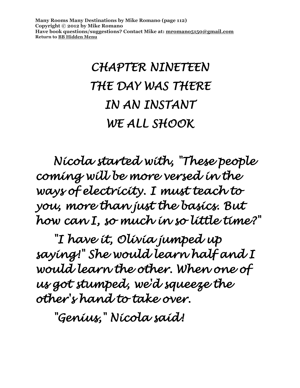**Many Rooms Many Destinations by Mike Romano (page 112) Copyright © 2012 by Mike Romano Have book questions/suggestions? Contact Mike at: [mromano5150@gmail.com](mailto:mromano5150@gmail.com) Return t[o BB Hidden Menu](https://www.bartlettbiographies.com/hidden-menu)**

# *CHAPTER NINETEEN THE DAY WAS THERE IN AN INSTANT WE ALL SHOOK*

 *Nicola started with, "These people coming will be more versed in the ways of electricity. I must teach to you, more than just the basics. But how can I, so much in so little time?"* 

 *"I have it, Olivia jumped up saying!" She would learn half and I would learn the other. When one of us got stumped, we'd squeeze the other's hand to take over.* 

 *"Genius," Nicola said!*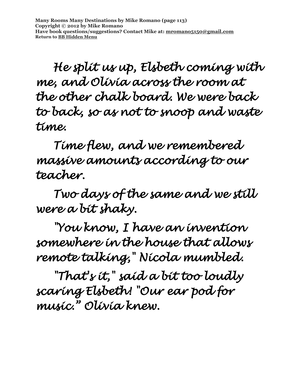*He split us up, Elsbeth coming with me, and Olivia across the room at the other chalk board. We were back to back, so as not to snoop and waste time.* 

 *Time flew, and we remembered massive amounts according to our teacher.* 

 *Two days of the same and we still were a bit shaky.* 

 *"You know, I have an invention somewhere in the house that allows remote talking," Nicola mumbled.* 

 *"That's it," said a bit too loudly scaring Elsbeth! "Our ear pod for music." Olivia knew.*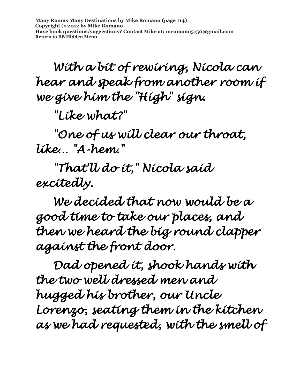**Many Rooms Many Destinations by Mike Romano (page 114) Copyright © 2012 by Mike Romano Have book questions/suggestions? Contact Mike at: [mromano5150@gmail.com](mailto:mromano5150@gmail.com) Return t[o BB Hidden Menu](https://www.bartlettbiographies.com/hidden-menu)**

 *With a bit of rewiring, Nicola can hear and speak from another room if we give him the "High" sign.* 

 *"Like what?"* 

 *"One of us will clear our throat, like… "A-hem."* 

 *"That'll do it," Nicola said excitedly.* 

 *We decided that now would be a good time to take our places, and then we heard the big round clapper against the front door.* 

 *Dad opened it, shook hands with the two well dressed men and hugged his brother, our Uncle Lorenzo, seating them in the kitchen as we had requested, with the smell of*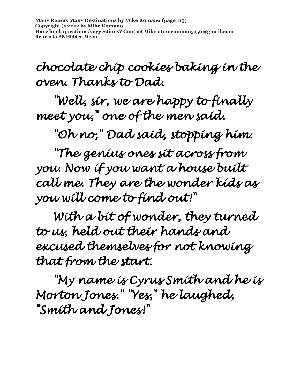**Many Rooms Many Destinations by Mike Romano (page 115) Copyright © 2012 by Mike Romano Have book questions/suggestions? Contact Mike at: [mromano5150@gmail.com](mailto:mromano5150@gmail.com) Return t[o BB Hidden Menu](https://www.bartlettbiographies.com/hidden-menu)**

*chocolate chip cookies baking in the oven. Thanks to Dad.* 

 *"Well, sir, we are happy to finally meet you," one of the men said.* 

 *"Oh no," Dad said, stopping him.* 

*"The genius ones sit across from you. Now if you want a house built call me. They are the wonder kids as you will come to find out!"* 

 *With a bit of wonder, they turned to us, held out their hands and excused themselves for not knowing that from the start.* 

*"My name is Cyrus Smith and he is Morton Jones." "Yes," he laughed, "Smith and Jones!"*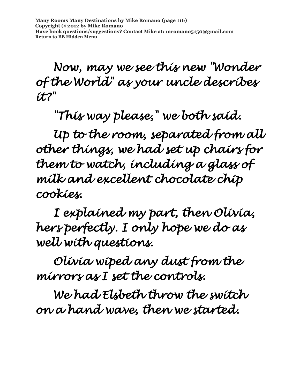*Now, may we see this new "Wonder of the World" as your uncle describes it?"* 

 *"This way please," we both said.* 

 *Up to the room, separated from all other things, we had set up chairs for them to watch, including a glass of milk and excellent chocolate chip cookies.* 

 *I explained my part, then Olivia, hers perfectly. I only hope we do as well with questions.* 

 *Olivia wiped any dust from the mirrors as I set the controls.* 

 *We had Elsbeth throw the switch on a hand wave, then we started.*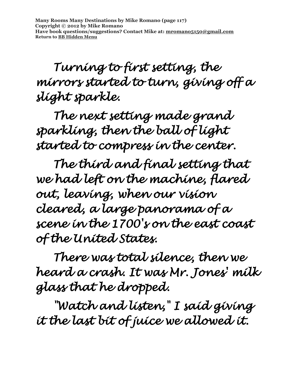*Turning to first setting, the mirrors started to turn, giving off a slight sparkle.* 

 *The next setting made grand sparkling, then the ball of light started to compress in the center.* 

 *The third and final setting that we had left on the machine, flared out, leaving, when our vision cleared, a large panorama of a scene in the 1700's on the east coast of the United States.* 

 *There was total silence, then we heard a crash. It was Mr. Jones' milk glass that he dropped.* 

 *"Watch and listen," I said giving it the last bit of juice we allowed it.*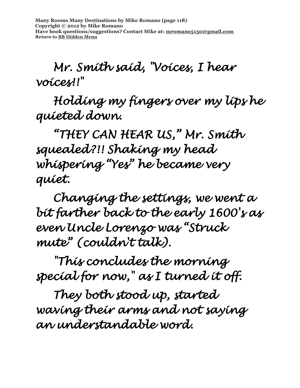**Many Rooms Many Destinations by Mike Romano (page 118) Copyright © 2012 by Mike Romano Have book questions/suggestions? Contact Mike at: [mromano5150@gmail.com](mailto:mromano5150@gmail.com) Return t[o BB Hidden Menu](https://www.bartlettbiographies.com/hidden-menu)**

 *Mr. Smith said, "Voices, I hear voices!!"* 

 *Holding my fingers over my lips he quieted down.* 

*"THEY CAN HEAR US," Mr. Smith squealed?!! Shaking my head whispering "Yes" he became very quiet.* 

 *Changing the settings, we went a bit farther back to the early 1600's as even Uncle Lorenzo was "Struck mute" (couldn't talk).* 

 *"This concludes the morning special for now," as I turned it off.* 

 *They both stood up, started waving their arms and not saying an understandable word.*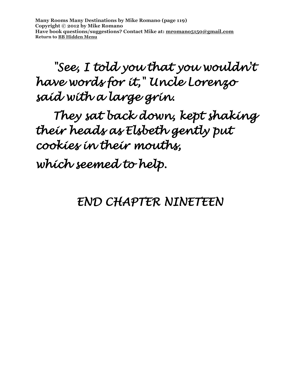**Many Rooms Many Destinations by Mike Romano (page 119) Copyright © 2012 by Mike Romano Have book questions/suggestions? Contact Mike at: [mromano5150@gmail.com](mailto:mromano5150@gmail.com) Return t[o BB Hidden Menu](https://www.bartlettbiographies.com/hidden-menu)**

 *"See, I told you that you wouldn't have words for it," Uncle Lorenzo said with a large grin.* 

 *They sat back down, kept shaking their heads as Elsbeth gently put cookies in their mouths,* 

*which seemed to help.* 

#### *END CHAPTER NINETEEN*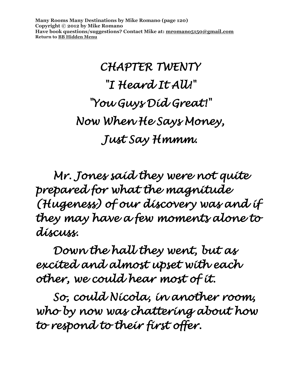**Many Rooms Many Destinations by Mike Romano (page 120) Copyright © 2012 by Mike Romano Have book questions/suggestions? Contact Mike at: [mromano5150@gmail.com](mailto:mromano5150@gmail.com) Return t[o BB Hidden Menu](https://www.bartlettbiographies.com/hidden-menu)**

## *CHAPTER TWENTY "I Heard It All!" "You Guys Did Great!" Now When He Says Money, Just Say Hmmm.*

 *Mr. Jones said they were not quite prepared for what the magnitude (Hugeness) of our discovery was and if they may have a few moments alone to discuss.* 

 *Down the hall they went, but as excited and almost upset with each other, we could hear most of it.* 

*So, could Nicola, in another room, who by now was chattering about how to respond to their first offer.*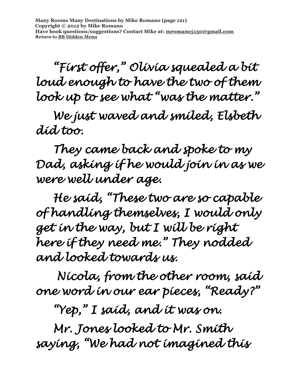**Many Rooms Many Destinations by Mike Romano (page 121) Copyright © 2012 by Mike Romano Have book questions/suggestions? Contact Mike at: [mromano5150@gmail.com](mailto:mromano5150@gmail.com) Return t[o BB Hidden Menu](https://www.bartlettbiographies.com/hidden-menu)**

 *"First offer," Olivia squealed a bit loud enough to have the two of them look up to see what "was the matter."* 

 *We just waved and smiled, Elsbeth did too.* 

 *They came back and spoke to my Dad, asking if he would join in as we were well under age.* 

 *He said, "These two are so capable of handling themselves, I would only get in the way, but I will be right here if they need me." They nodded and looked towards us.* 

 *Nicola, from the other room, said one word in our ear pieces, "Ready?"* 

*"Yep," I said, and it was on.* 

*Mr. Jones looked to Mr. Smith saying, "We had not imagined this*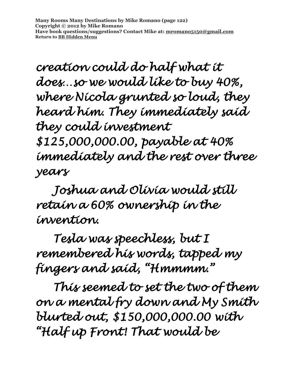**Many Rooms Many Destinations by Mike Romano (page 122) Copyright © 2012 by Mike Romano Have book questions/suggestions? Contact Mike at: [mromano5150@gmail.com](mailto:mromano5150@gmail.com) Return t[o BB Hidden Menu](https://www.bartlettbiographies.com/hidden-menu)**

*creation could do half what it does…so we would like to buy 40%, where Nicola grunted so loud, they heard him. They immediately said they could investment \$125,000,000.00, payable at 40% immediately and the rest over three* 

*years* 

*Joshua and Olivia would still retain a 60% ownership in the invention.* 

 *Tesla was speechless, but I remembered his words, tapped my fingers and said, "Hmmmm."* 

 *This seemed to set the two of them on a mental fry down and My Smith blurted out, \$150,000,000.00 with "Half up Front! That would be*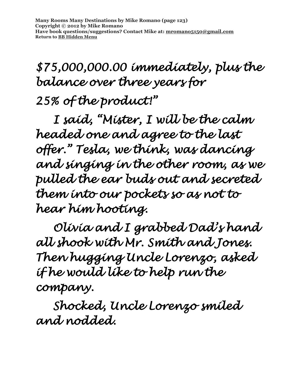### *\$75,000,000.00 immediately, plus the balance over three years for 25% of the product!"*

 *I said, "Mister, I will be the calm headed one and agree to the last offer." Tesla, we think, was dancing and singing in the other room, as we pulled the ear buds out and secreted them into our pockets so as not to hear him hooting.* 

 *Olivia and I grabbed Dad's hand all shook with Mr. Smith and Jones. Then hugging Uncle Lorenzo, asked if he would like to help run the company.* 

 *Shocked, Uncle Lorenzo smiled and nodded.*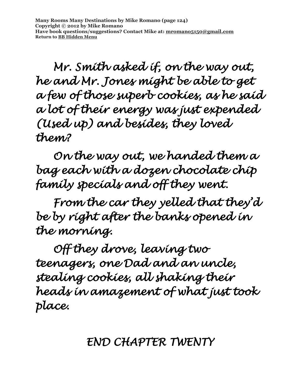**Many Rooms Many Destinations by Mike Romano (page 124) Copyright © 2012 by Mike Romano Have book questions/suggestions? Contact Mike at: [mromano5150@gmail.com](mailto:mromano5150@gmail.com) Return t[o BB Hidden Menu](https://www.bartlettbiographies.com/hidden-menu)**

 *Mr. Smith asked if, on the way out, he and Mr. Jones might be able to get a few of those superb cookies, as he said a lot of their energy was just expended (Used up) and besides, they loved them?* 

 *On the way out, we handed them a bag each with a dozen chocolate chip family specials and off they went.* 

 *From the car they yelled that they'd be by right after the banks opened in the morning.* 

 *Off they drove, leaving two teenagers, one Dad and an uncle, stealing cookies, all shaking their heads in amazement of what just took place.* 

*END CHAPTER TWENTY*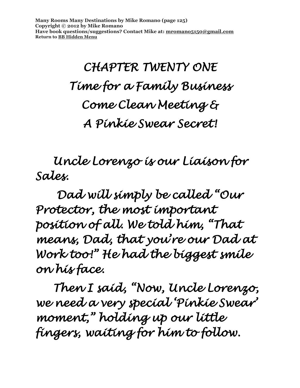**Many Rooms Many Destinations by Mike Romano (page 125) Copyright © 2012 by Mike Romano Have book questions/suggestions? Contact Mike at: [mromano5150@gmail.com](mailto:mromano5150@gmail.com) Return t[o BB Hidden Menu](https://www.bartlettbiographies.com/hidden-menu)**

> *CHAPTER TWENTY ONE Time for a Family Business Come Clean Meeting & A Pinkie Swear Secret!*

 *Uncle Lorenzo is our Liaison for Sales.* 

 *Dad will simply be called "Our Protector, the most important position of all. We told him, "That means, Dad, that you're our Dad at Work too!" He had the biggest smile on his face.* 

*Then I said, "Now, Uncle Lorenzo, we need a very special 'Pinkie Swear' moment," holding up our little fingers, waiting for him to follow.*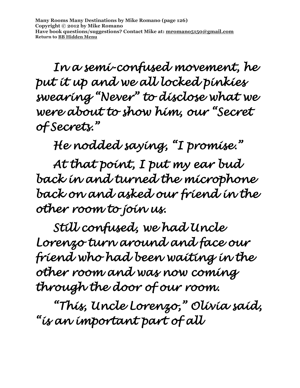*In a semi-confused movement, he put it up and we all locked pinkies swearing "Never" to disclose what we were about to show him, our "Secret of Secrets."* 

 *He nodded saying, "I promise."* 

 *At that point, I put my ear bud back in and turned the microphone back on and asked our friend in the other room to join us.* 

 *Still confused, we had Uncle Lorenzo turn around and face our friend who had been waiting in the other room and was now coming through the door of our room.* 

*"This, Uncle Lorenzo," Olivia said, "is an important part of all*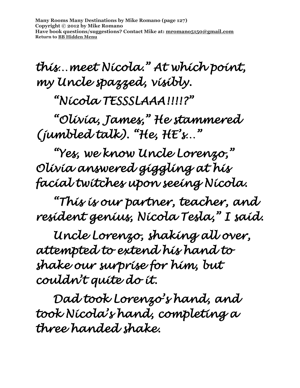**Many Rooms Many Destinations by Mike Romano (page 127) Copyright © 2012 by Mike Romano Have book questions/suggestions? Contact Mike at: [mromano5150@gmail.com](mailto:mromano5150@gmail.com) Return t[o BB Hidden Menu](https://www.bartlettbiographies.com/hidden-menu)**

*this…meet Nicola." At which point, my Uncle spazzed, visibly.* 

 *"Nicola TESSSLAAA!!!!?"* 

*"Olivia, James," He stammered (jumbled talk). "He, HE's…"* 

 *"Yes, we know Uncle Lorenzo," Olivia answered giggling at his facial twitches upon seeing Nicola.* 

 *"This is our partner, teacher, and resident genius, Nicola Tesla," I said.* 

 *Uncle Lorenzo, shaking all over, attempted to extend his hand to shake our surprise for him, but couldn't quite do it.* 

 *Dad took Lorenzo's hand, and took Nicola's hand, completing a three handed shake.*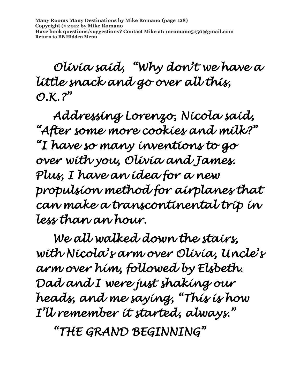*Olivia said, "Why don't we have a little snack and go over all this,*   $O.K. ?''$ 

 *Addressing Lorenzo, Nicola said, "After some more cookies and milk?" "I have so many inventions to go over with you, Olivia and James. Plus, I have an idea for a new propulsion method for airplanes that can make a transcontinental trip in less than an hour.* 

*We all walked down the stairs, with Nicola's arm over Olivia, Uncle's arm over him, followed by Elsbeth. Dad and I were just shaking our heads, and me saying, "This is how I'll remember it started, always."* 

*"THE GRAND BEGINNING"*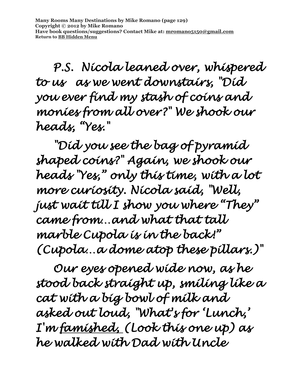*P.S. Nicola leaned over, whispered to us as we went downstairs, "Did you ever find my stash of coins and monies from all over?" We shook our heads, "Yes."* 

*"Did you see the bag of pyramid shaped coins?" Again, we shook our heads "Yes," only this time, with a lot more curiosity. Nicola said, "Well, just wait till I show you where "They" came from…and what that tall marble Cupola is in the back!" (Cupola…a dome atop these pillars.)"* 

*Our eyes opened wide now, as he stood back straight up, smiling like a cat with a big bowl of milk and asked out loud, "What's for 'Lunch,' I'm famished, (Look this one up) as he walked with Dad with Uncle*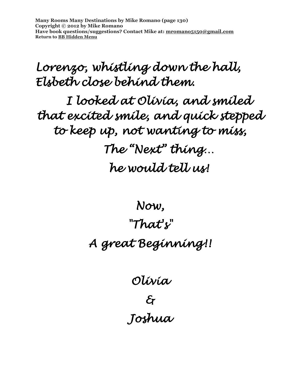**Many Rooms Many Destinations by Mike Romano (page 130) Copyright © 2012 by Mike Romano Have book questions/suggestions? Contact Mike at: [mromano5150@gmail.com](mailto:mromano5150@gmail.com) Return t[o BB Hidden Menu](https://www.bartlettbiographies.com/hidden-menu)**

#### *Lorenzo, whistling down the hall, Elsbeth close behind them.*

*I looked at Olivia, and smiled that excited smile, and quick stepped to keep up, not wanting to miss, The "Next" thing… he would tell us!* 

> *Now, "That's" A great Beginning!!*

> > *Olivia & Joshua*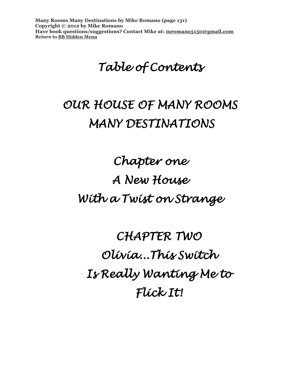**Many Rooms Many Destinations by Mike Romano (page 131) Copyright © 2012 by Mike Romano Have book questions/suggestions? Contact Mike at: [mromano5150@gmail.com](mailto:mromano5150@gmail.com) Return t[o BB Hidden Menu](https://www.bartlettbiographies.com/hidden-menu)**

*Table of Contents* 

#### *OUR HOUSE OF MANY ROOMS MANY DESTINATIONS*

*Chapter one A New House With a Twist on Strange* 

*CHAPTER TWO Olivia...This Switch Is Really Wanting Me to Flick It!*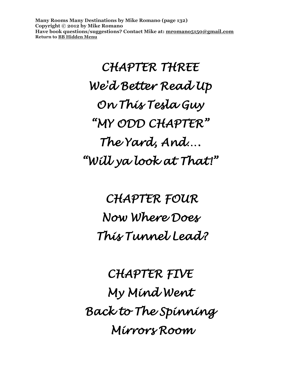**Many Rooms Many Destinations by Mike Romano (page 132) Copyright © 2012 by Mike Romano Have book questions/suggestions? Contact Mike at: [mromano5150@gmail.com](mailto:mromano5150@gmail.com) Return t[o BB Hidden Menu](https://www.bartlettbiographies.com/hidden-menu)**

> *CHAPTER THREE We'd Better Read Up On This Tesla Guy "MY ODD CHAPTER" The Yard, And…. "Will ya look at That!"*

 *CHAPTER FOUR Now Where Does This Tunnel Lead?* 

*CHAPTER FIVE My Mind Went Back to The Spinning Mirrors Room*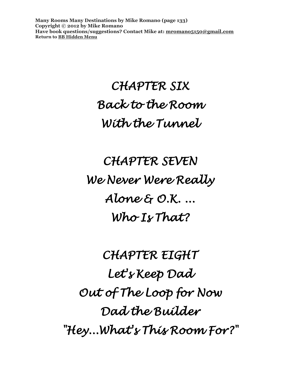**Many Rooms Many Destinations by Mike Romano (page 133) Copyright © 2012 by Mike Romano Have book questions/suggestions? Contact Mike at: [mromano5150@gmail.com](mailto:mromano5150@gmail.com) Return t[o BB Hidden Menu](https://www.bartlettbiographies.com/hidden-menu)**

## *CHAPTER SIX Back to the Room With the Tunnel*

*CHAPTER SEVEN We Never Were Really Alone & O.K. ... Who Is That?* 

*CHAPTER EIGHT Let's Keep Dad Out of The Loop for Now Dad the Builder "Hey...What's This Room For?"*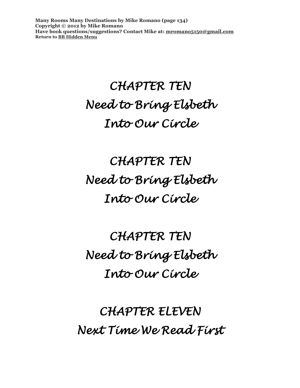**Many Rooms Many Destinations by Mike Romano (page 134) Copyright © 2012 by Mike Romano Have book questions/suggestions? Contact Mike at: [mromano5150@gmail.com](mailto:mromano5150@gmail.com) Return t[o BB Hidden Menu](https://www.bartlettbiographies.com/hidden-menu)**

### *CHAPTER TEN Need to Bring Elsbeth Into Our Circle*

*CHAPTER TEN Need to Bring Elsbeth Into Our Circle* 

*CHAPTER TEN Need to Bring Elsbeth Into Our Circle* 

*CHAPTER ELEVEN Next Time We Read First*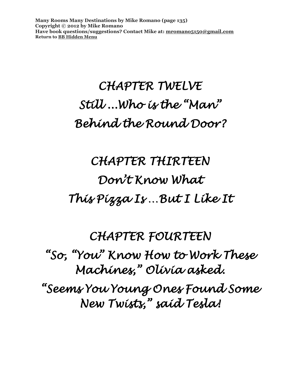**Many Rooms Many Destinations by Mike Romano (page 135) Copyright © 2012 by Mike Romano Have book questions/suggestions? Contact Mike at: [mromano5150@gmail.com](mailto:mromano5150@gmail.com) Return t[o BB Hidden Menu](https://www.bartlettbiographies.com/hidden-menu)**

### *CHAPTER TWELVE Still ...Who is the "Man" Behind the Round Door?*

## *CHAPTER THIRTEEN Don't Know What This Pizza Is …But I Like It*

*CHAPTER FOURTEEN "So, "You" Know How to Work These Machines," Olivia asked. "Seems You Young Ones Found Some New Twists," said Tesla!*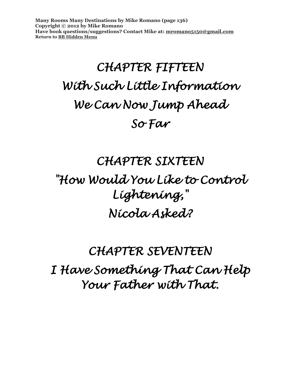**Many Rooms Many Destinations by Mike Romano (page 136) Copyright © 2012 by Mike Romano Have book questions/suggestions? Contact Mike at: [mromano5150@gmail.com](mailto:mromano5150@gmail.com) Return t[o BB Hidden Menu](https://www.bartlettbiographies.com/hidden-menu)**

# *CHAPTER FIFTEEN With Such Little Information We Can Now Jump Ahead So Far*

#### *CHAPTER SIXTEEN*

#### *"How Would You Like to Control Lightening," Nicola Asked?*

### *CHAPTER SEVENTEEN I Have Something That Can Help Your Father with That.*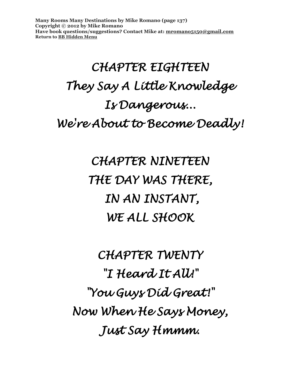**Many Rooms Many Destinations by Mike Romano (page 137) Copyright © 2012 by Mike Romano Have book questions/suggestions? Contact Mike at: [mromano5150@gmail.com](mailto:mromano5150@gmail.com) Return t[o BB Hidden Menu](https://www.bartlettbiographies.com/hidden-menu)**

# *CHAPTER EIGHTEEN They Say A Little Knowledge Is Dangerous... We're About to Become Deadly!*

*CHAPTER NINETEEN THE DAY WAS THERE, IN AN INSTANT, WE ALL SHOOK* 

*CHAPTER TWENTY "I Heard It All!" "You Guys Did Great!" Now When He Says Money, Just Say Hmmm.*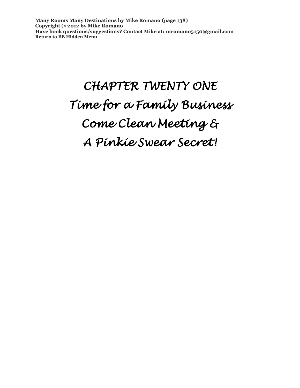**Many Rooms Many Destinations by Mike Romano (page 138) Copyright © 2012 by Mike Romano Have book questions/suggestions? Contact Mike at: [mromano5150@gmail.com](mailto:mromano5150@gmail.com) Return t[o BB Hidden Menu](https://www.bartlettbiographies.com/hidden-menu)**

# *CHAPTER TWENTY ONE Time for a Family Business Come Clean Meeting & A Pinkie Swear Secret!*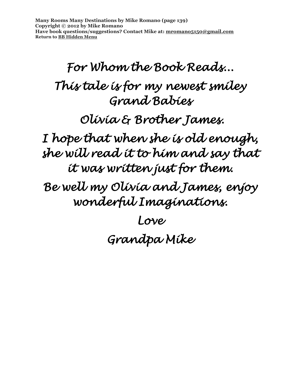**Many Rooms Many Destinations by Mike Romano (page 139) Copyright © 2012 by Mike Romano Have book questions/suggestions? Contact Mike at: [mromano5150@gmail.com](mailto:mromano5150@gmail.com) Return t[o BB Hidden Menu](https://www.bartlettbiographies.com/hidden-menu)**

*For Whom the Book Reads... This tale is for my newest smiley Grand Babies Olivia & Brother James. I hope that when she is old enough, she will read it to him and say that it was written just for them. Be well my Olivia and James, enjoy wonderful Imaginations. Love Grandpa Mike*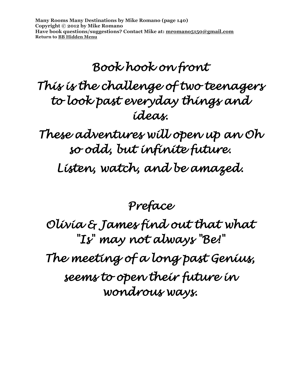**Many Rooms Many Destinations by Mike Romano (page 140) Copyright © 2012 by Mike Romano Have book questions/suggestions? Contact Mike at: [mromano5150@gmail.com](mailto:mromano5150@gmail.com) Return t[o BB Hidden Menu](https://www.bartlettbiographies.com/hidden-menu)**

### *Book hook on front This is the challenge of two teenagers to look past everyday things and ideas.*

*These adventures will open up an Oh so odd, but infinite future.* 

*Listen, watch, and be amazed.* 

*Preface* 

*Olivia & James find out that what "Is" may not always "Be!" The meeting of a long past Genius, seems to open their future in* 

*wondrous ways.*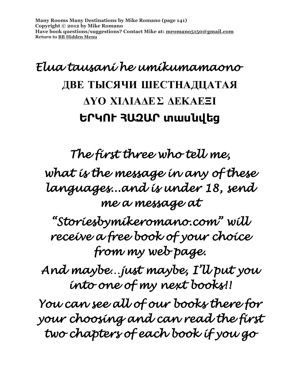### *Elua tausani he umikumamaono*  **ДВЕ****ТЫСЯЧИ****ШЕСТНАДЦАТАЯ** **ΔΥΟ****ΧΙΛΙΑΔΕΣ****ΔΕΚΑΕΞΙ ԵՐԿՈՒ****ՀԱԶԱՐ****տասնվեց**

*The first three who tell me, what is the message in any of these languages...and is under 18, send me a message at* 

*"Storiesbymikeromano.com" will receive a free book of your choice from my web page.* 

*And maybe…just maybe, I'll put you into one of my next books!!* 

*You can see all of our books there for your choosing and can read the first two chapters of each book if you go*